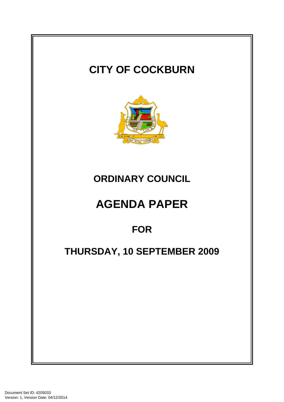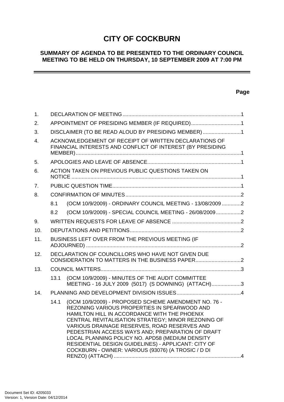# **CITY OF COCKBURN**

# **SUMMARY OF AGENDA TO BE PRESENTED TO THE ORDINARY COUNCIL MEETING TO BE HELD ON THURSDAY, 10 SEPTEMBER 2009 AT 7:00 PM**

# **Page**

-

| 1.  |                                                                                                                     |                                                                                                                                                                                                                                                                                                                                                                                                                                                                                |  |
|-----|---------------------------------------------------------------------------------------------------------------------|--------------------------------------------------------------------------------------------------------------------------------------------------------------------------------------------------------------------------------------------------------------------------------------------------------------------------------------------------------------------------------------------------------------------------------------------------------------------------------|--|
| 2.  | APPOINTMENT OF PRESIDING MEMBER (IF REQUIRED)1                                                                      |                                                                                                                                                                                                                                                                                                                                                                                                                                                                                |  |
| 3.  | DISCLAIMER (TO BE READ ALOUD BY PRESIDING MEMBER) 1                                                                 |                                                                                                                                                                                                                                                                                                                                                                                                                                                                                |  |
| 4.  | ACKNOWLEDGEMENT OF RECEIPT OF WRITTEN DECLARATIONS OF<br>FINANCIAL INTERESTS AND CONFLICT OF INTEREST (BY PRESIDING |                                                                                                                                                                                                                                                                                                                                                                                                                                                                                |  |
| 5.  |                                                                                                                     |                                                                                                                                                                                                                                                                                                                                                                                                                                                                                |  |
| 6.  | ACTION TAKEN ON PREVIOUS PUBLIC QUESTIONS TAKEN ON                                                                  |                                                                                                                                                                                                                                                                                                                                                                                                                                                                                |  |
| 7.  |                                                                                                                     |                                                                                                                                                                                                                                                                                                                                                                                                                                                                                |  |
| 8.  |                                                                                                                     |                                                                                                                                                                                                                                                                                                                                                                                                                                                                                |  |
|     | 8.1                                                                                                                 | (OCM 10/9/2009) - ORDINARY COUNCIL MEETING - 13/08/2009 2                                                                                                                                                                                                                                                                                                                                                                                                                      |  |
|     | 8.2                                                                                                                 | (OCM 10/9/2009) - SPECIAL COUNCIL MEETING - 26/08/20092                                                                                                                                                                                                                                                                                                                                                                                                                        |  |
| 9.  |                                                                                                                     |                                                                                                                                                                                                                                                                                                                                                                                                                                                                                |  |
| 10. |                                                                                                                     |                                                                                                                                                                                                                                                                                                                                                                                                                                                                                |  |
| 11. | BUSINESS LEFT OVER FROM THE PREVIOUS MEETING (IF                                                                    |                                                                                                                                                                                                                                                                                                                                                                                                                                                                                |  |
| 12. | DECLARATION OF COUNCILLORS WHO HAVE NOT GIVEN DUE                                                                   |                                                                                                                                                                                                                                                                                                                                                                                                                                                                                |  |
| 13. |                                                                                                                     |                                                                                                                                                                                                                                                                                                                                                                                                                                                                                |  |
|     | 13.1                                                                                                                | (OCM 10/9/2009) - MINUTES OF THE AUDIT COMMITTEE<br>MEETING - 16 JULY 2009 (5017) (S DOWNING) (ATTACH)3                                                                                                                                                                                                                                                                                                                                                                        |  |
| 14. |                                                                                                                     |                                                                                                                                                                                                                                                                                                                                                                                                                                                                                |  |
|     | 14.1                                                                                                                | (OCM 10/9/2009) - PROPOSED SCHEME AMENDMENT NO. 76 -<br>REZONING VARIOUS PROPERTIES IN SPEARWOOD AND<br>HAMILTON HILL IN ACCORDANCE WITH THE PHOENIX<br>CENTRAL REVITALISATION STRATEGY; MINOR REZONING OF<br>VARIOUS DRAINAGE RESERVES, ROAD RESERVES AND<br>PEDESTRIAN ACCESS WAYS AND; PREPARATION OF DRAFT<br>LOCAL PLANNING POLICY NO. APD58 (MEDIUM DENSITY<br>RESIDENTIAL DESIGN GUIDELINES) - APPLICANT: CITY OF<br>COCKBURN - OWNER: VARIOUS (93076) (A TROSIC / D DI |  |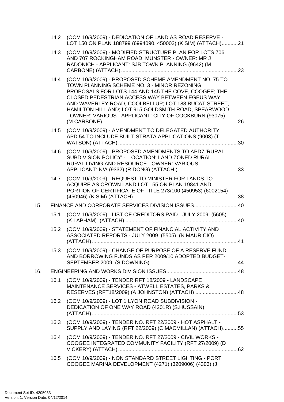|     | 14.2 | (OCM 10/9/2009) - DEDICATION OF LAND AS ROAD RESERVE -<br>LOT 150 ON PLAN 188799 (6994090, 450002) (K SIM) (ATTACH)21                                                                                                                                                                                                                                                                         |  |  |  |
|-----|------|-----------------------------------------------------------------------------------------------------------------------------------------------------------------------------------------------------------------------------------------------------------------------------------------------------------------------------------------------------------------------------------------------|--|--|--|
|     | 14.3 | (OCM 10/9/2009) - MODIFIED STRUCTURE PLAN FOR LOTS 706<br>AND 707 ROCKINGHAM ROAD, MUNSTER - OWNER: MR J<br>RADONICH - APPLICANT: SJB TOWN PLANNING (9642) (M                                                                                                                                                                                                                                 |  |  |  |
|     |      | 14.4 (OCM 10/9/2009) - PROPOSED SCHEME AMENDMENT NO. 75 TO<br>TOWN PLANNING SCHEME NO. 3 - MINOR REZONING<br>PROPOSALS FOR LOTS 144 AND 145 THE COVE, COOGEE; THE<br>CLOSED PEDESTRIAN ACCESS WAY BETWEEN EGEUS WAY<br>AND WAVERLEY ROAD, COOLBELLUP; LOT 188 BUCAT STREET,<br>HAMILTON HILL AND; LOT 915 GOLDSMITH ROAD, SPEARWOOD<br>- OWNER: VARIOUS - APPLICANT: CITY OF COCKBURN (93075) |  |  |  |
|     | 14.5 | (OCM 10/9/2009) - AMENDMENT TO DELEGATED AUTHORITY<br>APD 54 TO INCLUDE BUILT STRATA APPLICATIONS (9003) (T                                                                                                                                                                                                                                                                                   |  |  |  |
|     | 14.6 | (OCM 10/9/2009) - PROPOSED AMENDMENTS TO APD7 'RURAL<br>SUBDIVISION POLICY' - LOCATION: LAND ZONED RURAL,<br>RURAL LIVING AND RESOURCE - OWNER: VARIOUS -                                                                                                                                                                                                                                     |  |  |  |
|     | 14.7 | (OCM 10/9/2009) - REQUEST TO MINISTER FOR LANDS TO<br>ACQUIRE AS CROWN LAND LOT 155 ON PLAN 19841 AND<br>PORTION OF CERTIFICATE OF TITLE 273/100 (450953) (6002154)                                                                                                                                                                                                                           |  |  |  |
| 15. |      | FINANCE AND CORPORATE SERVICES DIVISION ISSUES40                                                                                                                                                                                                                                                                                                                                              |  |  |  |
|     | 15.1 | (OCM 10/9/2009) - LIST OF CREDITORS PAID - JULY 2009 (5605)                                                                                                                                                                                                                                                                                                                                   |  |  |  |
|     | 15.2 | (OCM 10/9/2009) - STATEMENT OF FINANCIAL ACTIVITY AND<br>ASSOCIATED REPORTS - JULY 2009 (5505) (N MAURICIO)                                                                                                                                                                                                                                                                                   |  |  |  |
|     | 15.3 | (OCM 10/9/2009) - CHANGE OF PURPOSE OF A RESERVE FUND<br>AND BORROWING FUNDS AS PER 2009/10 ADOPTED BUDGET-                                                                                                                                                                                                                                                                                   |  |  |  |
| 16. |      |                                                                                                                                                                                                                                                                                                                                                                                               |  |  |  |
|     | 16.1 | (OCM 10/9/2009) - TENDER RFT 18/2009 - LANDSCAPE<br>MAINTENANCE SERVICES - ATWELL ESTATES, PARKS &<br>RESERVES (RFT18/2009) (A JOHNSTON) (ATTACH) 48                                                                                                                                                                                                                                          |  |  |  |
|     | 16.2 | (OCM 10/9/2009) - LOT 1 LYON ROAD SUBDIVISION -<br>DEDICATION OF ONE WAY ROAD (4201R) (S.HUSSAIN)                                                                                                                                                                                                                                                                                             |  |  |  |
|     | 16.3 | (OCM 10/9/2009) - TENDER NO. RFT 22/2009 - HOT ASPHALT -<br>SUPPLY AND LAYING (RFT 22/2009) (C MACMILLAN) (ATTACH)55                                                                                                                                                                                                                                                                          |  |  |  |
|     | 16.4 | (OCM 10/9/2009) - TENDER NO. RFT 27/2009 - CIVIL WORKS -<br>COOGEE INTEGRATED COMMUNITY FACILITY (RFT 27/2009) (D                                                                                                                                                                                                                                                                             |  |  |  |
|     | 16.5 | (OCM 10/9/2009) - NON STANDARD STREET LIGHTING - PORT<br>COOGEE MARINA DEVELOPMENT (4271) (3209006) (4303) (J                                                                                                                                                                                                                                                                                 |  |  |  |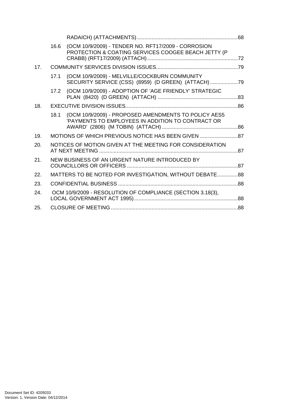|     | 16.6                                                       | (OCM 10/9/2009) - TENDER NO. RFT17/2009 - CORROSION<br>PROTECTION & COATING SERVICES COOGEE BEACH JETTY (P |  |
|-----|------------------------------------------------------------|------------------------------------------------------------------------------------------------------------|--|
| 17. |                                                            |                                                                                                            |  |
|     | 17.1                                                       | (OCM 10/9/2009) - MELVILLE/COCKBURN COMMUNITY<br>SECURITY SERVICE (CSS) (8959) (D GREEN) (ATTACH)          |  |
|     |                                                            | 17.2 (OCM 10/9/2009) - ADOPTION OF 'AGE FRIENDLY' STRATEGIC                                                |  |
| 18. |                                                            |                                                                                                            |  |
|     | 18.1                                                       | (OCM 10/9/2009) - PROPOSED AMENDMENTS TO POLICY AES5<br>'PAYMENTS TO EMPLOYEES IN ADDITION TO CONTRACT OR  |  |
| 19. |                                                            | MOTIONS OF WHICH PREVIOUS NOTICE HAS BEEN GIVEN                                                            |  |
| 20. | NOTICES OF MOTION GIVEN AT THE MEETING FOR CONSIDERATION   |                                                                                                            |  |
| 21. | NEW BUSINESS OF AN URGENT NATURE INTRODUCED BY             |                                                                                                            |  |
| 22. | MATTERS TO BE NOTED FOR INVESTIGATION, WITHOUT DEBATE88    |                                                                                                            |  |
| 23. |                                                            |                                                                                                            |  |
| 24. | OCM 10/9/2009 - RESOLUTION OF COMPLIANCE (SECTION 3.18(3), |                                                                                                            |  |
| 25. |                                                            |                                                                                                            |  |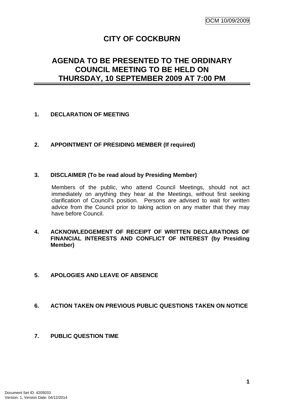# **CITY OF COCKBURN**

# **AGENDA TO BE PRESENTED TO THE ORDINARY COUNCIL MEETING TO BE HELD ON THURSDAY, 10 SEPTEMBER 2009 AT 7:00 PM**

# <span id="page-4-0"></span>**1. DECLARATION OF MEETING**

# <span id="page-4-1"></span>**2. APPOINTMENT OF PRESIDING MEMBER (If required)**

# <span id="page-4-2"></span>**3. DISCLAIMER (To be read aloud by Presiding Member)**

Members of the public, who attend Council Meetings, should not act immediately on anything they hear at the Meetings, without first seeking clarification of Council's position. Persons are advised to wait for written advice from the Council prior to taking action on any matter that they may have before Council.

# <span id="page-4-3"></span>**4. ACKNOWLEDGEMENT OF RECEIPT OF WRITTEN DECLARATIONS OF FINANCIAL INTERESTS AND CONFLICT OF INTEREST (by Presiding Member)**

# <span id="page-4-4"></span>**5. APOLOGIES AND LEAVE OF ABSENCE**

# <span id="page-4-5"></span>**6. ACTION TAKEN ON PREVIOUS PUBLIC QUESTIONS TAKEN ON NOTICE**

# <span id="page-4-6"></span>**7. PUBLIC QUESTION TIME**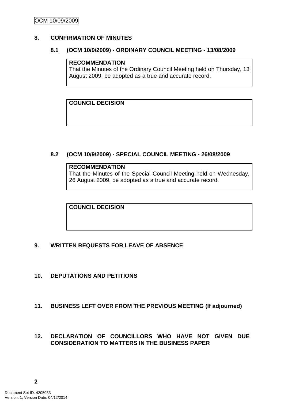# <span id="page-5-1"></span><span id="page-5-0"></span>**8. CONFIRMATION OF MINUTES**

#### **8.1 (OCM 10/9/2009) - ORDINARY COUNCIL MEETING - 13/08/2009**

#### **RECOMMENDATION**

That the Minutes of the Ordinary Council Meeting held on Thursday, 13 August 2009, be adopted as a true and accurate record.

**COUNCIL DECISION** 

# <span id="page-5-2"></span>**8.2 (OCM 10/9/2009) - SPECIAL COUNCIL MEETING - 26/08/2009**

#### **RECOMMENDATION** That the Minutes of the Special Council Meeting held on Wednesday,

26 August 2009, be adopted as a true and accurate record.

**COUNCIL DECISION** 

# <span id="page-5-3"></span>**9. WRITTEN REQUESTS FOR LEAVE OF ABSENCE**

<span id="page-5-4"></span>**10. DEPUTATIONS AND PETITIONS** 

# <span id="page-5-5"></span>**11. BUSINESS LEFT OVER FROM THE PREVIOUS MEETING (If adjourned)**

# <span id="page-5-6"></span>**12. DECLARATION OF COUNCILLORS WHO HAVE NOT GIVEN DUE CONSIDERATION TO MATTERS IN THE BUSINESS PAPER**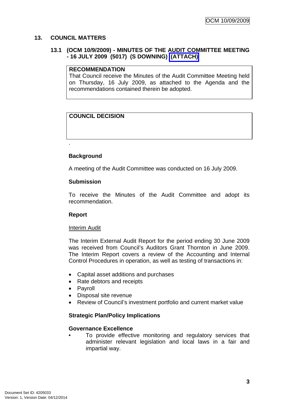# <span id="page-6-1"></span><span id="page-6-0"></span>**13. COUNCIL MATTERS**

# **13.1 (OCM 10/9/2009) - MINUTES OF THE AUDIT COMMITTEE MEETING - 16 JULY 2009 (5017) (S DOWNING) (ATTACH)**

#### **RECOMMENDATION**

That Council receive the Minutes of the Audit Committee Meeting held on Thursday, 16 July 2009, as attached to the Agenda and the recommendations contained therein be adopted.

# **COUNCIL DECISION**

# **Background**

.

A meeting of the Audit Committee was conducted on 16 July 2009.

#### **Submission**

To receive the Minutes of the Audit Committee and adopt its recommendation.

# **Report**

#### Interim Audit

The Interim External Audit Report for the period ending 30 June 2009 was received from Council's Auditors Grant Thornton in June 2009. The Interim Report covers a review of the Accounting and Internal Control Procedures in operation, as well as testing of transactions in:

- Capital asset additions and purchases
- Rate debtors and receipts
- Payroll
- Disposal site revenue
- Review of Council's investment portfolio and current market value

# **Strategic Plan/Policy Implications**

# **Governance Excellence**

To provide effective monitoring and regulatory services that administer relevant legislation and local laws in a fair and impartial way.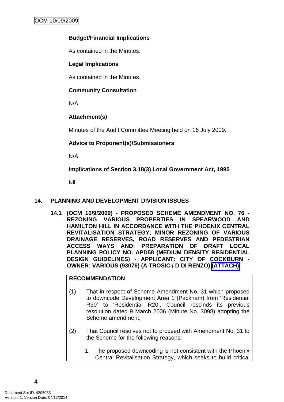# **Budget/Financial Implications**

As contained in the Minutes.

# **Legal Implications**

As contained in the Minutes.

# **Community Consultation**

N/A

# **Attachment(s)**

Minutes of the Audit Committee Meeting held on 16 July 2009.

# **Advice to Proponent(s)/Submissioners**

N/A

**Implications of Section 3.18(3) Local Government Act, 1995**

Nil.

# <span id="page-7-1"></span><span id="page-7-0"></span>**14. PLANNING AND DEVELOPMENT DIVISION ISSUES**

**14.1 (OCM 10/9/2009) - PROPOSED SCHEME AMENDMENT NO. 76 - REZONING VARIOUS PROPERTIES IN SPEARWOOD AND HAMILTON HILL IN ACCORDANCE WITH THE PHOENIX CENTRAL REVITALISATION STRATEGY; MINOR REZONING OF VARIOUS DRAINAGE RESERVES, ROAD RESERVES AND PEDESTRIAN ACCESS WAYS AND; PREPARATION OF DRAFT LOCAL PLANNING POLICY NO. APD58 (MEDIUM DENSITY RESIDENTIAL DESIGN GUIDELINES) - APPLICANT: CITY OF COCKBURN - OWNER: VARIOUS (93076) (A TROSIC / D DI RENZO) (ATTACH)** 

# **RECOMMENDATION**

- (1) That in respect of Scheme Amendment No. 31 which proposed to downcode Development Area 1 (Packham) from 'Residential R30' to 'Residential R20', Council rescinds its previous resolution dated 9 March 2006 (Minute No. 3098) adopting the Scheme amendment;
- (2) That Council resolves not to proceed with Amendment No. 31 to the Scheme for the following reasons:
	- 1. The proposed downcoding is not consistent with the Phoenix Central Revitalisation Strategy, which seeks to build critical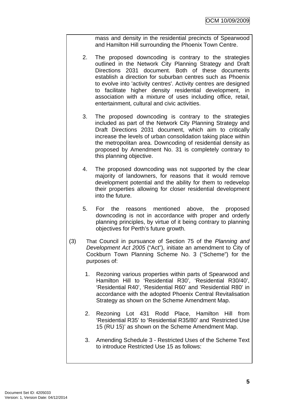mass and density in the residential precincts of Spearwood and Hamilton Hill surrounding the Phoenix Town Centre.

- 2. The proposed downcoding is contrary to the strategies outlined in the Network City Planning Strategy and Draft Directions 2031 document. Both of these documents establish a direction for suburban centres such as Phoenix to evolve into 'activity centres'. Activity centres are designed to facilitate higher density residential development, in association with a mixture of uses including office, retail, entertainment, cultural and civic activities.
- 3. The proposed downcoding is contrary to the strategies included as part of the Network City Planning Strategy and Draft Directions 2031 document, which aim to critically increase the levels of urban consolidation taking place within the metropolitan area. Downcoding of residential density as proposed by Amendment No. 31 is completely contrary to this planning objective.
- 4. The proposed downcoding was not supported by the clear majority of landowners, for reasons that it would remove development potential and the ability for them to redevelop their properties allowing for closer residential development into the future.
- 5. For the reasons mentioned above, the proposed downcoding is not in accordance with proper and orderly planning principles, by virtue of it being contrary to planning objectives for Perth's future growth.
- (3) That Council in pursuance of Section 75 of the *Planning and Development Act 2005* ("Act"), initiate an amendment to City of Cockburn Town Planning Scheme No. 3 ("Scheme") for the purposes of:
	- 1. Rezoning various properties within parts of Spearwood and Hamilton Hill to 'Residential R30', 'Residential R30/40', 'Residential R40', 'Residential R60' and 'Residential R80' in accordance with the adopted Phoenix Central Revitalisation Strategy as shown on the Scheme Amendment Map.
	- 2. Rezoning Lot 431 Rodd Place, Hamilton Hill from 'Residential R35' to 'Residential R35/80' and 'Restricted Use 15 (RU 15)' as shown on the Scheme Amendment Map.
	- 3. Amending Schedule 3 Restricted Uses of the Scheme Text to introduce Restricted Use 15 as follows: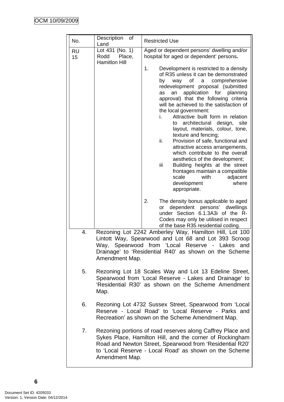| No.             | Description<br>of<br>Land                                                                                                                                                                                                                                                                                                                                                                                                       | <b>Restricted Use</b>                                                                                                                                                                                                                                                                                                                                                                                                                                                                                                                                                                                                                                                                                                                                             |  |
|-----------------|---------------------------------------------------------------------------------------------------------------------------------------------------------------------------------------------------------------------------------------------------------------------------------------------------------------------------------------------------------------------------------------------------------------------------------|-------------------------------------------------------------------------------------------------------------------------------------------------------------------------------------------------------------------------------------------------------------------------------------------------------------------------------------------------------------------------------------------------------------------------------------------------------------------------------------------------------------------------------------------------------------------------------------------------------------------------------------------------------------------------------------------------------------------------------------------------------------------|--|
| <b>RU</b><br>15 | Lot 431 (No. 1)<br>Rodd<br>Place,<br><b>Hamitlon Hill</b>                                                                                                                                                                                                                                                                                                                                                                       | Aged or dependent persons' dwelling and/or<br>hospital for aged or dependent' persons.                                                                                                                                                                                                                                                                                                                                                                                                                                                                                                                                                                                                                                                                            |  |
|                 |                                                                                                                                                                                                                                                                                                                                                                                                                                 | 1.<br>Development is restricted to a density<br>of R35 unless it can be demonstrated<br>way of a comprehensive<br>by<br>redevelopment proposal (submitted<br>application for<br>planning<br>as<br>an<br>approval) that the following criteria<br>will be achieved to the satisfaction of<br>the local government:<br>Attractive built form in relation<br>i.<br>architectural design, site<br>to<br>layout, materials, colour, tone,<br>texture and fencing;<br>ii.<br>Provision of safe, functional and<br>attractive access arrangements,<br>which contribute to the overall<br>aesthetics of the development;<br>iii<br>Building heights at the street<br>frontages maintain a compatible<br>scale<br>with<br>adjacent<br>where<br>development<br>appropriate. |  |
|                 |                                                                                                                                                                                                                                                                                                                                                                                                                                 | 2.<br>The density bonus applicable to aged<br>dependent persons' dwellings<br>or<br>under Section 6.1.3A3i of the R-<br>Codes may only be utilised in respect<br>of the base R35 residential coding.                                                                                                                                                                                                                                                                                                                                                                                                                                                                                                                                                              |  |
| 4.              | Rezoning Lot 2242 Amberley Way, Hamilton Hill, Lot 100<br>Lintott Way, Spearwood and Lot 68 and Lot 393 Scroop<br>Spearwood from 'Local Reserve - Lakes and<br>Way,<br>Drainage' to 'Residential R40' as shown on the Scheme<br>Amendment Map.<br>Rezoning Lot 18 Scales Way and Lot 13 Edeline Street,<br>Spearwood from 'Local Reserve - Lakes and Drainage' to<br>'Residential R30' as shown on the Scheme Amendment<br>Map. |                                                                                                                                                                                                                                                                                                                                                                                                                                                                                                                                                                                                                                                                                                                                                                   |  |
| 5.              |                                                                                                                                                                                                                                                                                                                                                                                                                                 |                                                                                                                                                                                                                                                                                                                                                                                                                                                                                                                                                                                                                                                                                                                                                                   |  |
| 6.              | Rezoning Lot 4732 Sussex Street, Spearwood from 'Local<br>Reserve - Local Road' to 'Local Reserve - Parks and<br>Recreation' as shown on the Scheme Amendment Map.                                                                                                                                                                                                                                                              |                                                                                                                                                                                                                                                                                                                                                                                                                                                                                                                                                                                                                                                                                                                                                                   |  |
| 7.              | Amendment Map.                                                                                                                                                                                                                                                                                                                                                                                                                  | Rezoning portions of road reserves along Caffrey Place and<br>Sykes Place, Hamilton Hill, and the corner of Rockingham<br>Road and Newton Street, Spearwood from 'Residential R20'<br>to 'Local Reserve - Local Road' as shown on the Scheme                                                                                                                                                                                                                                                                                                                                                                                                                                                                                                                      |  |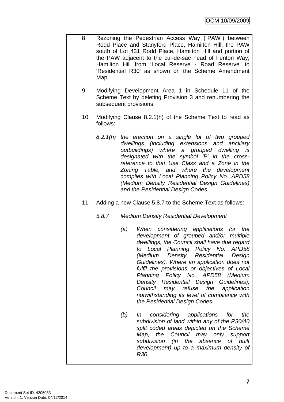- 8. Rezoning the Pedestrian Access Way ("PAW") between Rodd Place and Stanyford Place, Hamilton Hill, the PAW south of Lot 431 Rodd Place, Hamilton Hill and portion of the PAW adjacent to the cul-de-sac head of Fenton Way, Hamilton Hill from 'Local Reserve - Road Reserve' to 'Residential R30' as shown on the Scheme Amendment Map.
	- 9. Modifying Development Area 1 in Schedule 11 of the Scheme Text by deleting Provision 3 and renumbering the subsequent provisions.
	- 10. Modifying Clause 8.2.1(h) of the Scheme Text to read as follows:
		- *8.2.1(h) the erection on a single lot of two grouped dwellings (including extensions and ancillary outbuildings) where a grouped dwelling is designated with the symbol 'P' in the crossreference to that Use Class and a Zone in the Zoning Table, and where the development complies with Local Planning Policy No. APD58 (Medium Density Residential Design Guidelines) and the Residential Design Codes.*
	- 11. Adding a new Clause 5.8.7 to the Scheme Text as follows:
		- *5.8.7 Medium Density Residential Development* 
			- *(a) When considering applications for the development of grouped and/or multiple dwellings, the Council shall have due regard to Local Planning Policy No. APD58 (Medium Density Residential Design Guidelines). Where an application does not fulfil the provisions or objectives of Local Planning Policy No. APD58 (Medium Density Residential Design Guidelines), Council may refuse the application notwithstanding its level of compliance with the Residential Design Codes.*
			- *(b) In considering applications for the subdivision of land within any of the R30/40 split coded areas depicted on the Scheme Map, the Council may only support subdivision (in the absence of built development) up to a maximum density of R30.*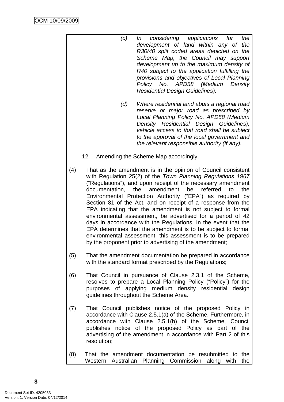- *(c) In considering applications for the development of land within any of the R30/40 split coded areas depicted on the Scheme Map, the Council may support development up to the maximum density of R40 subject to the application fulfilling the provisions and objectives of Local Planning Policy No. APD58 (Medium Density Residential Design Guidelines).*
- *(d) Where residential land abuts a regional road reserve or major road as prescribed by Local Planning Policy No. APD58 (Medium Density Residential Design Guidelines), vehicle access to that road shall be subject to the approval of the local government and the relevant responsible authority (if any).*
- 12. Amending the Scheme Map accordingly.
- (4) That as the amendment is in the opinion of Council consistent with Regulation 25(2) of the *Town Planning Regulations 1967* ("Regulations"), and upon receipt of the necessary amendment documentation, the amendment be referred to the Environmental Protection Authority ("EPA") as required by Section 81 of the Act, and on receipt of a response from the EPA indicating that the amendment is not subject to formal environmental assessment, be advertised for a period of 42 days in accordance with the Regulations. In the event that the EPA determines that the amendment is to be subject to formal environmental assessment, this assessment is to be prepared by the proponent prior to advertising of the amendment;
- (5) That the amendment documentation be prepared in accordance with the standard format prescribed by the Regulations;
- (6) That Council in pursuance of Clause 2.3.1 of the Scheme, resolves to prepare a Local Planning Policy ("Policy") for the purposes of applying medium density residential design guidelines throughout the Scheme Area.
- (7) That Council publishes notice of the proposed Policy in accordance with Clause 2.5.1(a) of the Scheme. Furthermore, in accordance with Clause 2.5.1(b) of the Scheme, Council publishes notice of the proposed Policy as part of the advertising of the amendment in accordance with Part 2 of this resolution;
- (8) That the amendment documentation be resubmitted to the Western Australian Planning Commission along with the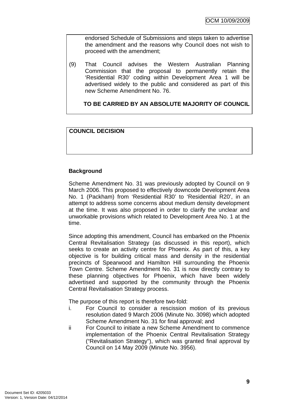endorsed Schedule of Submissions and steps taken to advertise the amendment and the reasons why Council does not wish to proceed with the amendment;

(9) That Council advises the Western Australian Planning Commission that the proposal to permanently retain the 'Residential R30' coding within Development Area 1 will be advertised widely to the public and considered as part of this new Scheme Amendment No. 76.

**TO BE CARRIED BY AN ABSOLUTE MAJORITY OF COUNCIL**

# **COUNCIL DECISION**

# **Background**

Scheme Amendment No. 31 was previously adopted by Council on 9 March 2006. This proposed to effectively downcode Development Area No. 1 (Packham) from 'Residential R30' to 'Residential R20', in an attempt to address some concerns about medium density development at the time. It was also proposed in order to clarify the unclear and unworkable provisions which related to Development Area No. 1 at the time.

Since adopting this amendment, Council has embarked on the Phoenix Central Revitalisation Strategy (as discussed in this report), which seeks to create an activity centre for Phoenix. As part of this, a key objective is for building critical mass and density in the residential precincts of Spearwood and Hamilton Hill surrounding the Phoenix Town Centre. Scheme Amendment No. 31 is now directly contrary to these planning objectives for Phoenix, which have been widely advertised and supported by the community through the Phoenix Central Revitalisation Strategy process.

The purpose of this report is therefore two-fold:

- i. For Council to consider a rescission motion of its previous resolution dated 9 March 2006 (Minute No. 3098) which adopted Scheme Amendment No. 31 for final approval; and
- ii For Council to initiate a new Scheme Amendment to commence implementation of the Phoenix Central Revitalisation Strategy ("Revitalisation Strategy"), which was granted final approval by Council on 14 May 2009 (Minute No. 3956).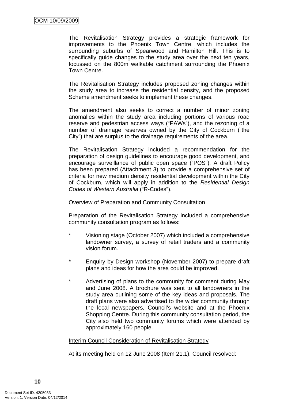The Revitalisation Strategy provides a strategic framework for improvements to the Phoenix Town Centre, which includes the surrounding suburbs of Spearwood and Hamilton Hill. This is to specifically guide changes to the study area over the next ten years, focussed on the 800m walkable catchment surrounding the Phoenix Town Centre.

The Revitalisation Strategy includes proposed zoning changes within the study area to increase the residential density, and the proposed Scheme amendment seeks to implement these changes.

The amendment also seeks to correct a number of minor zoning anomalies within the study area including portions of various road reserve and pedestrian access ways ("PAWs"), and the rezoning of a number of drainage reserves owned by the City of Cockburn ("the City") that are surplus to the drainage requirements of the area.

The Revitalisation Strategy included a recommendation for the preparation of design guidelines to encourage good development, and encourage surveillance of public open space ("POS"). A draft Policy has been prepared (Attachment 3) to provide a comprehensive set of criteria for new medium density residential development within the City of Cockburn, which will apply in addition to the *Residential Design Codes of Western Australia* ("R-Codes").

#### Overview of Preparation and Community Consultation

Preparation of the Revitalisation Strategy included a comprehensive community consultation program as follows:

- \* Visioning stage (October 2007) which included a comprehensive landowner survey, a survey of retail traders and a community vision forum.
- \* Enquiry by Design workshop (November 2007) to prepare draft plans and ideas for how the area could be improved.
- \* Advertising of plans to the community for comment during May and June 2008. A brochure was sent to all landowners in the study area outlining some of the key ideas and proposals. The draft plans were also advertised to the wider community through the local newspapers, Council's website and at the Phoenix Shopping Centre. During this community consultation period, the City also held two community forums which were attended by approximately 160 people.

# Interim Council Consideration of Revitalisation Strategy

At its meeting held on 12 June 2008 (Item 21.1), Council resolved: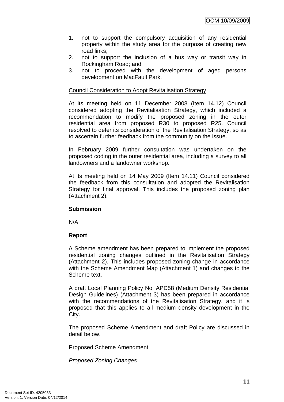- 1. not to support the compulsory acquisition of any residential property within the study area for the purpose of creating new road links;
- 2. not to support the inclusion of a bus way or transit way in Rockingham Road; and
- 3. not to proceed with the development of aged persons development on MacFaull Park.

# Council Consideration to Adopt Revitalisation Strategy

At its meeting held on 11 December 2008 (Item 14.12) Council considered adopting the Revitalisation Strategy, which included a recommendation to modify the proposed zoning in the outer residential area from proposed R30 to proposed R25. Council resolved to defer its consideration of the Revitalisation Strategy, so as to ascertain further feedback from the community on the issue.

In February 2009 further consultation was undertaken on the proposed coding in the outer residential area, including a survey to all landowners and a landowner workshop.

At its meeting held on 14 May 2009 (Item 14.11) Council considered the feedback from this consultation and adopted the Revitalisation Strategy for final approval. This includes the proposed zoning plan (Attachment 2).

# **Submission**

N/A

# **Report**

A Scheme amendment has been prepared to implement the proposed residential zoning changes outlined in the Revitalisation Strategy (Attachment 2). This includes proposed zoning change in accordance with the Scheme Amendment Map (Attachment 1) and changes to the Scheme text.

A draft Local Planning Policy No. APD58 (Medium Density Residential Design Guidelines) (Attachment 3) has been prepared in accordance with the recommendations of the Revitalisation Strategy, and it is proposed that this applies to all medium density development in the City.

The proposed Scheme Amendment and draft Policy are discussed in detail below.

Proposed Scheme Amendment

*Proposed Zoning Changes*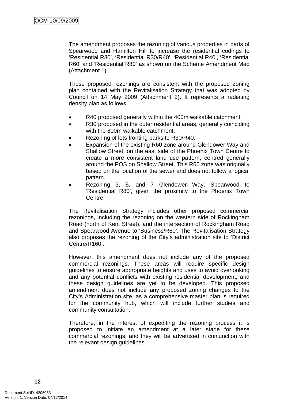The amendment proposes the rezoning of various properties in parts of Spearwood and Hamilton Hill to increase the residential codings to 'Residential R30', 'Residential R30/R40', 'Residential R40', 'Residential R60' and 'Residential R80' as shown on the Scheme Amendment Map (Attachment 1).

These proposed rezonings are consistent with the proposed zoning plan contained with the Revitalisation Strategy that was adopted by Council on 14 May 2009 (Attachment 2). It represents a radiating density plan as follows:

- R40 proposed generally within the 400m walkable catchment,
- R30 proposed in the outer residential areas, generally coinciding with the 800m walkable catchment.
- Rezoning of lots fronting parks to R30/R40.
- Expansion of the existing R60 zone around Glendower Way and Shallow Street, on the east side of the Phoenix Town Centre to create a more consistent land use pattern, centred generally around the POS on Shallow Street. This R60 zone was originally based on the location of the sewer and does not follow a logical pattern.
- Rezoning 3, 5, and 7 Glendower Way, Spearwood to 'Residential R80', given the proximity to the Phoenix Town Centre.

The Revitalisation Strategy includes other proposed commercial rezonings, including the rezoning on the western side of Rockingham Road (north of Kent Street), and the intersection of Rockingham Road and Spearwood Avenue to 'Business/R60'. The Revitalisation Strategy also proposes the rezoning of the City's administration site to 'District Centre/R160'.

However, this amendment does not include any of the proposed commercial rezonings. These areas will require specific design guidelines to ensure appropriate heights and uses to avoid overlooking and any potential conflicts with existing residential development, and these design guidelines are yet to be developed. This proposed amendment does not include any proposed zoning changes to the City's Administration site, as a comprehensive master plan is required for the community hub, which will include further studies and community consultation.

Therefore, in the interest of expediting the rezoning process it is proposed to initiate an amendment at a later stage for these commercial rezonings, and they will be advertised in conjunction with the relevant design guidelines.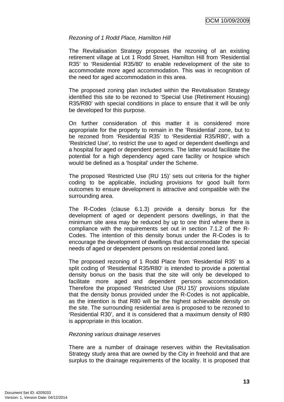#### *Rezoning of 1 Rodd Place, Hamilton Hill*

The Revitalisation Strategy proposes the rezoning of an existing retirement village at Lot 1 Rodd Street, Hamilton Hill from 'Residential R35' to 'Residential R35/80' to enable redevelopment of the site to accommodate more aged accommodation. This was in recognition of the need for aged accommodation in this area.

The proposed zoning plan included within the Revitalisation Strategy identified this site to be rezoned to 'Special Use (Retirement Housing) R35/R80' with special conditions in place to ensure that it will be only be developed for this purpose.

On further consideration of this matter it is considered more appropriate for the property to remain in the 'Residential' zone, but to be rezoned from 'Residential R35' to 'Residential R35/R80', with a 'Restricted Use', to restrict the use to aged or dependent dwellings and a hospital for aged or dependent persons. The latter would facilitate the potential for a high dependency aged care facility or hospice which would be defined as a 'hospital' under the Scheme.

The proposed 'Restricted Use (RU 15)' sets out criteria for the higher coding to be applicable, including provisions for good built form outcomes to ensure development is attractive and compatible with the surrounding area.

The R-Codes (clause 6.1.3) provide a density bonus for the development of aged or dependent persons dwellings, in that the minimum site area may be reduced by up to one third where there is compliance with the requirements set out in section 7.1.2 of the R-Codes. The intention of this density bonus under the R-Codes is to encourage the development of dwellings that accommodate the special needs of aged or dependent persons on residential zoned land.

The proposed rezoning of 1 Rodd Place from 'Residential R35' to a split coding of 'Residential R35/R80' is intended to provide a potential density bonus on the basis that the site will only be developed to facilitate more aged and dependent persons accommodation. Therefore the proposed 'Restricted Use (RU 15)' provisions stipulate that the density bonus provided under the R-Codes is not applicable, as the intention is that R80 will be the highest achievable density on the site. The surrounding residential area is proposed to be rezoned to 'Residential R30', and it is considered that a maximum density of R80 is appropriate in this location.

#### *Rezoning various drainage reserves*

There are a number of drainage reserves within the Revitalisation Strategy study area that are owned by the City in freehold and that are surplus to the drainage requirements of the locality. It is proposed that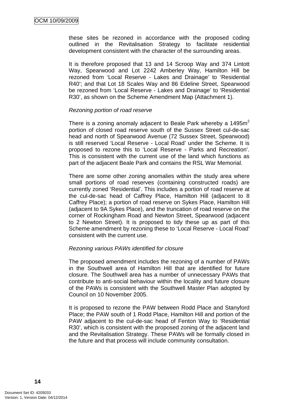these sites be rezoned in accordance with the proposed coding outlined in the Revitalisation Strategy to facilitate residential development consistent with the character of the surrounding areas.

It is therefore proposed that 13 and 14 Scroop Way and 374 Lintott Way, Spearwood and Lot 2242 Amberley Way, Hamilton Hill be rezoned from 'Local Reserve - Lakes and Drainage' to 'Residential R40'; and that Lot 18 Scales Way and 86 Edeline Street, Spearwood be rezoned from 'Local Reserve - Lakes and Drainage' to 'Residential R30', as shown on the Scheme Amendment Map (Attachment 1).

#### *Rezoning portion of road reserve*

There is a zoning anomaly adjacent to Beale Park whereby a  $1495m<sup>2</sup>$ portion of closed road reserve south of the Sussex Street cul-de-sac head and north of Spearwood Avenue (72 Sussex Street, Spearwood) is still reserved 'Local Reserve - Local Road' under the Scheme. It is proposed to rezone this to 'Local Reserve - Parks and Recreation'. This is consistent with the current use of the land which functions as part of the adjacent Beale Park and contains the RSL War Memorial.

There are some other zoning anomalies within the study area where small portions of road reserves (containing constructed roads) are currently zoned 'Residential'. This includes a portion of road reserve at the cul-de-sac head of Caffrey Place, Hamilton Hill (adjacent to 8 Caffrey Place); a portion of road reserve on Sykes Place, Hamilton Hill (adjacent to 9A Sykes Place), and the truncation of road reserve on the corner of Rockingham Road and Newton Street, Spearwood (adjacent to 2 Newton Street). It is proposed to tidy these up as part of this Scheme amendment by rezoning these to 'Local Reserve - Local Road' consistent with the current use.

# *Rezoning various PAWs identified for closure*

The proposed amendment includes the rezoning of a number of PAWs in the Southwell area of Hamilton Hill that are identified for future closure. The Southwell area has a number of unnecessary PAWs that contribute to anti-social behaviour within the locality and future closure of the PAWs is consistent with the Southwell Master Plan adopted by Council on 10 November 2005.

It is proposed to rezone the PAW between Rodd Place and Stanyford Place; the PAW south of 1 Rodd Place, Hamilton Hill and portion of the PAW adjacent to the cul-de-sac head of Fenton Way to 'Residential R30', which is consistent with the proposed zoning of the adjacent land and the Revitalisation Strategy. These PAWs will be formally closed in the future and that process will include community consultation.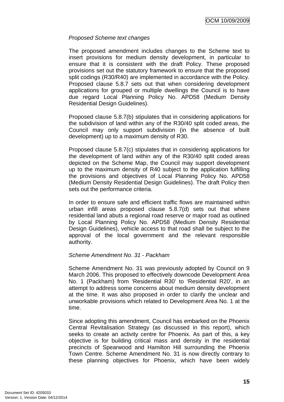# *Proposed Scheme text changes*

The proposed amendment includes changes to the Scheme text to insert provisions for medium density development, in particular to ensure that it is consistent with the draft Policy. These proposed provisions set out the statutory framework to ensure that the proposed split codings (R30/R40) are implemented in accordance with the Policy. Proposed clause 5.8.7 sets out that when considering development applications for grouped or multiple dwellings the Council is to have due regard Local Planning Policy No. APD58 (Medium Density Residential Design Guidelines).

Proposed clause 5.8.7(b) stipulates that in considering applications for the subdivision of land within any of the R30/40 split coded areas, the Council may only support subdivision (in the absence of built development) up to a maximum density of R30.

Proposed clause 5.8.7(c) stipulates that in considering applications for the development of land within any of the R30/40 split coded areas depicted on the Scheme Map, the Council may support development up to the maximum density of R40 subject to the application fulfilling the provisions and objectives of Local Planning Policy No. APD58 (Medium Density Residential Design Guidelines). The draft Policy then sets out the performance criteria.

In order to ensure safe and efficient traffic flows are maintained within urban infill areas proposed clause 5.8.7(d) sets out that where residential land abuts a regional road reserve or major road as outlined by Local Planning Policy No. APD58 (Medium Density Residential Design Guidelines), vehicle access to that road shall be subject to the approval of the local government and the relevant responsible authority.

# *Scheme Amendment No. 31 - Packham*

Scheme Amendment No. 31 was previously adopted by Council on 9 March 2006. This proposed to effectively downcode Development Area No. 1 (Packham) from 'Residential R30' to 'Residential R20', in an attempt to address some concerns about medium density development at the time. It was also proposed in order to clarify the unclear and unworkable provisions which related to Development Area No. 1 at the time.

Since adopting this amendment, Council has embarked on the Phoenix Central Revitalisation Strategy (as discussed in this report), which seeks to create an activity centre for Phoenix. As part of this, a key objective is for building critical mass and density in the residential precincts of Spearwood and Hamilton Hill surrounding the Phoenix Town Centre. Scheme Amendment No. 31 is now directly contrary to these planning objectives for Phoenix, which have been widely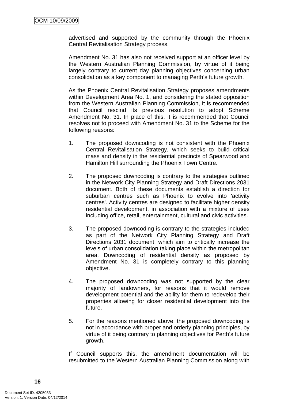advertised and supported by the community through the Phoenix Central Revitalisation Strategy process.

Amendment No. 31 has also not received support at an officer level by the Western Australian Planning Commission, by virtue of it being largely contrary to current day planning objectives concerning urban consolidation as a key component to managing Perth's future growth.

As the Phoenix Central Revitalisation Strategy proposes amendments within Development Area No. 1, and considering the stated opposition from the Western Australian Planning Commission, it is recommended that Council rescind its previous resolution to adopt Scheme Amendment No. 31. In place of this, it is recommended that Council resolves not to proceed with Amendment No. 31 to the Scheme for the following reasons:

- 1. The proposed downcoding is not consistent with the Phoenix Central Revitalisation Strategy, which seeks to build critical mass and density in the residential precincts of Spearwood and Hamilton Hill surrounding the Phoenix Town Centre.
- 2. The proposed downcoding is contrary to the strategies outlined in the Network City Planning Strategy and Draft Directions 2031 document. Both of these documents establish a direction for suburban centres such as Phoenix to evolve into 'activity centres'. Activity centres are designed to facilitate higher density residential development, in association with a mixture of uses including office, retail, entertainment, cultural and civic activities.
- 3. The proposed downcoding is contrary to the strategies included as part of the Network City Planning Strategy and Draft Directions 2031 document, which aim to critically increase the levels of urban consolidation taking place within the metropolitan area. Downcoding of residential density as proposed by Amendment No. 31 is completely contrary to this planning objective.
- 4. The proposed downcoding was not supported by the clear majority of landowners, for reasons that it would remove development potential and the ability for them to redevelop their properties allowing for closer residential development into the future.
- 5. For the reasons mentioned above, the proposed downcoding is not in accordance with proper and orderly planning principles, by virtue of it being contrary to planning objectives for Perth's future growth.

If Council supports this, the amendment documentation will be resubmitted to the Western Australian Planning Commission along with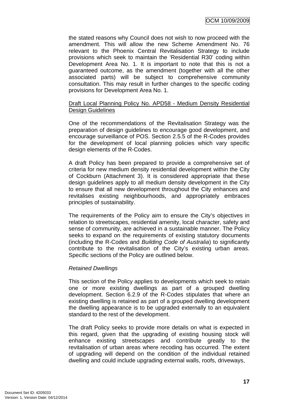OCM 10/09/2009

the stated reasons why Council does not wish to now proceed with the amendment. This will allow the new Scheme Amendment No. 76 relevant to the Phoenix Central Revitalisation Strategy to include provisions which seek to maintain the 'Residential R30' coding within Development Area No. 1. It is important to note that this is not a guaranteed outcome, as the amendment (together with all the other associated parts) will be subject to comprehensive community consultation. This may result in further changes to the specific coding provisions for Development Area No. 1.

#### Draft Local Planning Policy No. APD58 - Medium Density Residential Design Guidelines

One of the recommendations of the Revitalisation Strategy was the preparation of design guidelines to encourage good development, and encourage surveillance of POS. Section 2.5.5 of the R-Codes provides for the development of local planning policies which vary specific design elements of the R-Codes.

A draft Policy has been prepared to provide a comprehensive set of criteria for new medium density residential development within the City of Cockburn (Attachment 3). It is considered appropriate that these design guidelines apply to all medium density development in the City to ensure that all new development throughout the City enhances and revitalises existing neighbourhoods, and appropriately embraces principles of sustainability.

The requirements of the Policy aim to ensure the City's objectives in relation to streetscapes, residential amenity, local character, safety and sense of community, are achieved in a sustainable manner. The Policy seeks to expand on the requirements of existing statutory documents (including the R-Codes and *Building Code of Australia*) to significantly contribute to the revitalisation of the City's existing urban areas. Specific sections of the Policy are outlined below.

# *Retained Dwellings*

This section of the Policy applies to developments which seek to retain one or more existing dwellings as part of a grouped dwelling development. Section 6.2.9 of the R-Codes stipulates that where an existing dwelling is retained as part of a grouped dwelling development the dwelling appearance is to be upgraded externally to an equivalent standard to the rest of the development.

The draft Policy seeks to provide more details on what is expected in this regard, given that the upgrading of existing housing stock will enhance existing streetscapes and contribute greatly to the revitalisation of urban areas where recoding has occurred. The extent of upgrading will depend on the condition of the individual retained dwelling and could include upgrading external walls, roofs, driveways,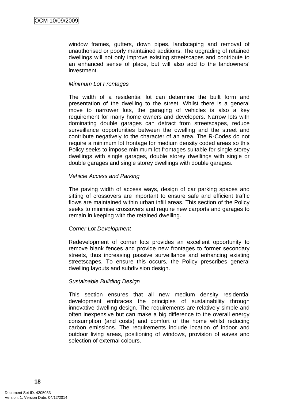window frames, gutters, down pipes, landscaping and removal of unauthorised or poorly maintained additions. The upgrading of retained dwellings will not only improve existing streetscapes and contribute to an enhanced sense of place, but will also add to the landowners' investment.

# *Minimum Lot Frontages*

The width of a residential lot can determine the built form and presentation of the dwelling to the street. Whilst there is a general move to narrower lots, the garaging of vehicles is also a key requirement for many home owners and developers. Narrow lots with dominating double garages can detract from streetscapes, reduce surveillance opportunities between the dwelling and the street and contribute negatively to the character of an area. The R-Codes do not require a minimum lot frontage for medium density coded areas so this Policy seeks to impose minimum lot frontages suitable for single storey dwellings with single garages, double storey dwellings with single or double garages and single storey dwellings with double garages.

#### *Vehicle Access and Parking*

The paving width of access ways, design of car parking spaces and sitting of crossovers are important to ensure safe and efficient traffic flows are maintained within urban infill areas. This section of the Policy seeks to minimise crossovers and require new carports and garages to remain in keeping with the retained dwelling.

# *Corner Lot Development*

Redevelopment of corner lots provides an excellent opportunity to remove blank fences and provide new frontages to former secondary streets, thus increasing passive surveillance and enhancing existing streetscapes. To ensure this occurs, the Policy prescribes general dwelling layouts and subdivision design.

# *Sustainable Building Design*

This section ensures that all new medium density residential development embraces the principles of sustainability through innovative dwelling design. The requirements are relatively simple and often inexpensive but can make a big difference to the overall energy consumption (and costs) and comfort of the home whilst reducing carbon emissions. The requirements include location of indoor and outdoor living areas, positioning of windows, provision of eaves and selection of external colours.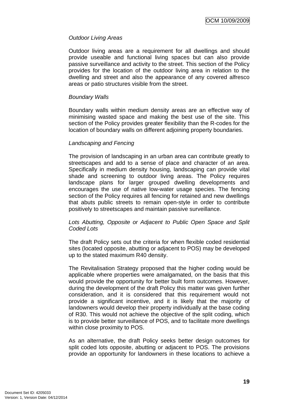# *Outdoor Living Areas*

Outdoor living areas are a requirement for all dwellings and should provide useable and functional living spaces but can also provide passive surveillance and activity to the street. This section of the Policy provides for the location of the outdoor living area in relation to the dwelling and street and also the appearance of any covered alfresco areas or patio structures visible from the street.

# *Boundary Walls*

Boundary walls within medium density areas are an effective way of minimising wasted space and making the best use of the site. This section of the Policy provides greater flexibility than the R-codes for the location of boundary walls on different adjoining property boundaries.

# *Landscaping and Fencing*

The provision of landscaping in an urban area can contribute greatly to streetscapes and add to a sense of place and character of an area. Specifically in medium density housing, landscaping can provide vital shade and screening to outdoor living areas. The Policy requires landscape plans for larger grouped dwelling developments and encourages the use of native low-water usage species. The fencing section of the Policy requires all fencing for retained and new dwellings that abuts public streets to remain open-style in order to contribute positively to streetscapes and maintain passive surveillance.

# *Lots Abutting, Opposite or Adjacent to Public Open Space and Split Coded Lots*

The draft Policy sets out the criteria for when flexible coded residential sites (located opposite, abutting or adjacent to POS) may be developed up to the stated maximum R40 density.

The Revitalisation Strategy proposed that the higher coding would be applicable where properties were amalgamated, on the basis that this would provide the opportunity for better built form outcomes. However, during the development of the draft Policy this matter was given further consideration, and it is considered that this requirement would not provide a significant incentive, and it is likely that the majority of landowners would develop their property individually at the base coding of R30. This would not achieve the objective of the split coding, which is to provide better surveillance of POS, and to facilitate more dwellings within close proximity to POS.

As an alternative, the draft Policy seeks better design outcomes for split coded lots opposite, abutting or adjacent to POS. The provisions provide an opportunity for landowners in these locations to achieve a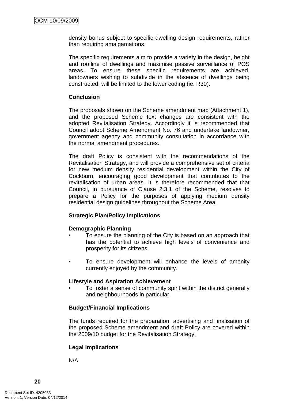density bonus subject to specific dwelling design requirements, rather than requiring amalgamations.

The specific requirements aim to provide a variety in the design, height and roofline of dwellings and maximise passive surveillance of POS areas. To ensure these specific requirements are achieved, landowners wishing to subdivide in the absence of dwellings being constructed, will be limited to the lower coding (ie. R30).

# **Conclusion**

The proposals shown on the Scheme amendment map (Attachment 1), and the proposed Scheme text changes are consistent with the adopted Revitalisation Strategy. Accordingly it is recommended that Council adopt Scheme Amendment No. 76 and undertake landowner, government agency and community consultation in accordance with the normal amendment procedures.

The draft Policy is consistent with the recommendations of the Revitalisation Strategy, and will provide a comprehensive set of criteria for new medium density residential development within the City of Cockburn, encouraging good development that contributes to the revitalisation of urban areas. It is therefore recommended that that Council, in pursuance of Clause 2.3.1 of the Scheme, resolves to prepare a Policy for the purposes of applying medium density residential design guidelines throughout the Scheme Area.

# **Strategic Plan/Policy Implications**

# **Demographic Planning**

- To ensure the planning of the City is based on an approach that has the potential to achieve high levels of convenience and prosperity for its citizens.
- To ensure development will enhance the levels of amenity currently enjoyed by the community.

# **Lifestyle and Aspiration Achievement**

• To foster a sense of community spirit within the district generally and neighbourhoods in particular.

# **Budget/Financial Implications**

The funds required for the preparation, advertising and finalisation of the proposed Scheme amendment and draft Policy are covered within the 2009/10 budget for the Revitalisation Strategy.

# **Legal Implications**

N/A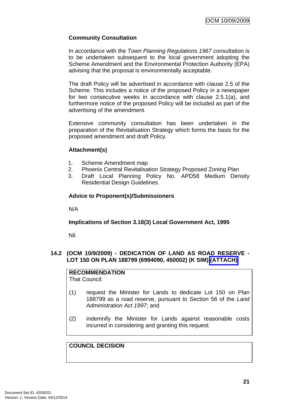# **Community Consultation**

In accordance with the *Town Planning Regulations 1967* consultation is to be undertaken subsequent to the local government adopting the Scheme Amendment and the Environmental Protection Authority (EPA) advising that the proposal is environmentally acceptable.

The draft Policy will be advertised in accordance with clause 2.5 of the Scheme. This includes a notice of the proposed Policy in a newspaper for two consecutive weeks in accordance with clause 2.5.1(a), and furthermore notice of the proposed Policy will be included as part of the advertising of the amendment.

Extensive community consultation has been undertaken in the preparation of the Revitalisation Strategy which forms the basis for the proposed amendment and draft Policy.

# **Attachment(s)**

- 1. Scheme Amendment map
- 2. Phoenix Central Revitalisation Strategy Proposed Zoning Plan
- 3. Draft Local Planning Policy No. APD58 Medium Density Residential Design Guidelines.

# **Advice to Proponent(s)/Submissioners**

N/A

# **Implications of Section 3.18(3) Local Government Act, 1995**

Nil.

# <span id="page-24-0"></span>**14.2 (OCM 10/9/2009) - DEDICATION OF LAND AS ROAD RESERVE - LOT 150 ON PLAN 188799 (6994090, 450002) (K SIM) (ATTACH)**

# **RECOMMENDATION**

That Council:

- (1) request the Minister for Lands to dedicate Lot 150 on Plan 188799 as a road reserve, pursuant to Section 56 of the *Land Administration Act 1997*; and
- (2) indemnify the Minister for Lands against reasonable costs incurred in considering and granting this request.

# **COUNCIL DECISION**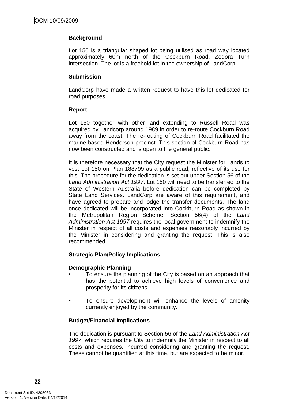# **Background**

Lot 150 is a triangular shaped lot being utilised as road way located approximately 60m north of the Cockburn Road, Zedora Turn intersection. The lot is a freehold lot in the ownership of LandCorp.

#### **Submission**

LandCorp have made a written request to have this lot dedicated for road purposes.

#### **Report**

Lot 150 together with other land extending to Russell Road was acquired by Landcorp around 1989 in order to re-route Cockburn Road away from the coast. The re-routing of Cockburn Road facilitated the marine based Henderson precinct. This section of Cockburn Road has now been constructed and is open to the general public.

It is therefore necessary that the City request the Minister for Lands to vest Lot 150 on Plan 188799 as a public road, reflective of its use for this. The procedure for the dedication is set out under Section 56 of the *Land Administration Act 1997*. Lot 150 will need to be transferred to the State of Western Australia before dedication can be completed by State Land Services. LandCorp are aware of this requirement, and have agreed to prepare and lodge the transfer documents. The land once dedicated will be incorporated into Cockburn Road as shown in the Metropolitan Region Scheme. Section 56(4) of the *Land Administration Act 1997* requires the local government to indemnify the Minister in respect of all costs and expenses reasonably incurred by the Minister in considering and granting the request. This is also recommended.

# **Strategic Plan/Policy Implications**

# **Demographic Planning**

- To ensure the planning of the City is based on an approach that has the potential to achieve high levels of convenience and prosperity for its citizens.
- To ensure development will enhance the levels of amenity currently enjoyed by the community.

# **Budget/Financial Implications**

The dedication is pursuant to Section 56 of the *Land Administration Act 1997*, which requires the City to indemnify the Minister in respect to all costs and expenses, incurred considering and granting the request. These cannot be quantified at this time, but are expected to be minor.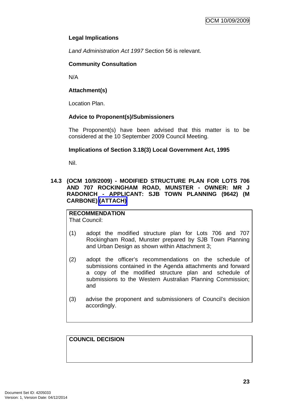# **Legal Implications**

*Land Administration Act 1997* Section 56 is relevant.

# **Community Consultation**

N/A

# **Attachment(s)**

Location Plan.

# **Advice to Proponent(s)/Submissioners**

The Proponent(s) have been advised that this matter is to be considered at the 10 September 2009 Council Meeting.

# **Implications of Section 3.18(3) Local Government Act, 1995**

Nil.

# <span id="page-26-0"></span>**14.3 (OCM 10/9/2009) - MODIFIED STRUCTURE PLAN FOR LOTS 706 AND 707 ROCKINGHAM ROAD, MUNSTER - OWNER: MR J RADONICH - APPLICANT: SJB TOWN PLANNING (9642) (M CARBONE) (ATTACH)**

#### **RECOMMENDATION** That Council:

- (1) adopt the modified structure plan for Lots 706 and 707 Rockingham Road, Munster prepared by SJB Town Planning and Urban Design as shown within Attachment 3;
- (2) adopt the officer's recommendations on the schedule of submissions contained in the Agenda attachments and forward a copy of the modified structure plan and schedule of submissions to the Western Australian Planning Commission; and
- (3) advise the proponent and submissioners of Council's decision accordingly.

# **COUNCIL DECISION**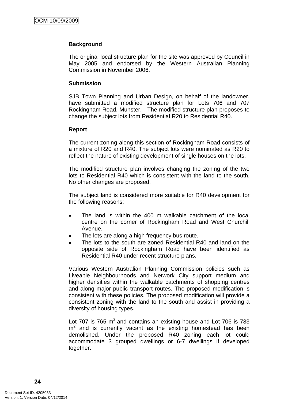# **Background**

The original local structure plan for the site was approved by Council in May 2005 and endorsed by the Western Australian Planning Commission in November 2006.

# **Submission**

SJB Town Planning and Urban Design, on behalf of the landowner, have submitted a modified structure plan for Lots 706 and 707 Rockingham Road, Munster. The modified structure plan proposes to change the subject lots from Residential R20 to Residential R40.

# **Report**

The current zoning along this section of Rockingham Road consists of a mixture of R20 and R40. The subject lots were nominated as R20 to reflect the nature of existing development of single houses on the lots.

The modified structure plan involves changing the zoning of the two lots to Residential R40 which is consistent with the land to the south. No other changes are proposed.

The subject land is considered more suitable for R40 development for the following reasons:

- The land is within the 400 m walkable catchment of the local centre on the corner of Rockingham Road and West Churchill Avenue.
- The lots are along a high frequency bus route.
- The lots to the south are zoned Residential R40 and land on the opposite side of Rockingham Road have been identified as Residential R40 under recent structure plans.

Various Western Australian Planning Commission policies such as Liveable Neighbourhoods and Network City support medium and higher densities within the walkable catchments of shopping centres and along major public transport routes. The proposed modification is consistent with these policies. The proposed modification will provide a consistent zoning with the land to the south and assist in providing a diversity of housing types.

Lot 707 is 765  $m^2$  and contains an existing house and Lot 706 is 783  $m<sup>2</sup>$  and is currently vacant as the existing homestead has been demolished. Under the proposed R40 zoning each lot could accommodate 3 grouped dwellings or 6-7 dwellings if developed together.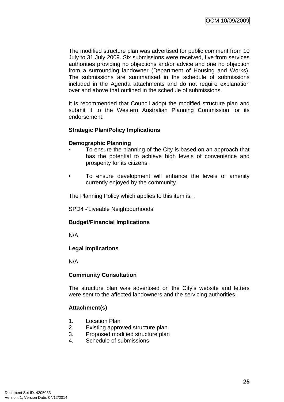The modified structure plan was advertised for public comment from 10 July to 31 July 2009. Six submissions were received, five from services authorities providing no objections and/or advice and one no objection from a surrounding landowner (Department of Housing and Works). The submissions are summarised in the schedule of submissions included in the Agenda attachments and do not require explanation over and above that outlined in the schedule of submissions.

It is recommended that Council adopt the modified structure plan and submit it to the Western Australian Planning Commission for its endorsement.

# **Strategic Plan/Policy Implications**

#### **Demographic Planning**

- To ensure the planning of the City is based on an approach that has the potential to achieve high levels of convenience and prosperity for its citizens.
- To ensure development will enhance the levels of amenity currently enjoyed by the community.

The Planning Policy which applies to this item is: .

SPD4 -'Liveable Neighbourhoods'

#### **Budget/Financial Implications**

N/A

#### **Legal Implications**

N/A

#### **Community Consultation**

The structure plan was advertised on the City's website and letters were sent to the affected landowners and the servicing authorities.

# **Attachment(s)**

- 1. Location Plan
- 2. Existing approved structure plan
- 3. Proposed modified structure plan
- 4. Schedule of submissions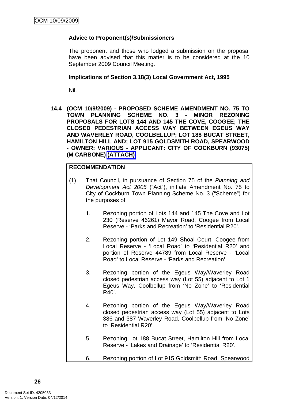# **Advice to Proponent(s)/Submissioners**

The proponent and those who lodged a submission on the proposal have been advised that this matter is to be considered at the 10 September 2009 Council Meeting.

#### **Implications of Section 3.18(3) Local Government Act, 1995**

Nil.

<span id="page-29-0"></span>**14.4 (OCM 10/9/2009) - PROPOSED SCHEME AMENDMENT NO. 75 TO TOWN PLANNING SCHEME NO. 3 - MINOR REZONING PROPOSALS FOR LOTS 144 AND 145 THE COVE, COOGEE; THE CLOSED PEDESTRIAN ACCESS WAY BETWEEN EGEUS WAY AND WAVERLEY ROAD, COOLBELLUP; LOT 188 BUCAT STREET, HAMILTON HILL AND; LOT 915 GOLDSMITH ROAD, SPEARWOOD - OWNER: VARIOUS - APPLICANT: CITY OF COCKBURN (93075) (M CARBONE) (ATTACH)**

# **RECOMMENDATION**

- (1) That Council, in pursuance of Section 75 of the *Planning and Development Act 2005* ("Act"), initiate Amendment No. 75 to City of Cockburn Town Planning Scheme No. 3 ("Scheme") for the purposes of:
	- 1. Rezoning portion of Lots 144 and 145 The Cove and Lot 230 (Reserve 46261) Mayor Road, Coogee from Local Reserve - 'Parks and Recreation' to 'Residential R20'.
	- 2. Rezoning portion of Lot 149 Shoal Court, Coogee from Local Reserve - 'Local Road' to 'Residential R20' and portion of Reserve 44789 from Local Reserve - 'Local Road' to Local Reserve - 'Parks and Recreation'.
	- 3. Rezoning portion of the Egeus Way/Waverley Road closed pedestrian access way (Lot 55) adjacent to Lot 1 Egeus Way, Coolbellup from 'No Zone' to 'Residential R40'.
	- 4. Rezoning portion of the Egeus Way/Waverley Road closed pedestrian access way (Lot 55) adjacent to Lots 386 and 387 Waverley Road, Coolbellup from 'No Zone' to 'Residential R20'.
	- 5. Rezoning Lot 188 Bucat Street, Hamilton Hill from Local Reserve - 'Lakes and Drainage' to 'Residential R20'.
	- 6. Rezoning portion of Lot 915 Goldsmith Road, Spearwood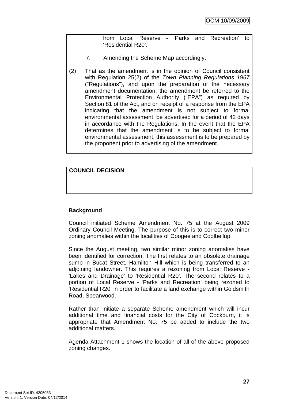from Local Reserve - 'Parks and Recreation' to 'Residential R20'.

- 7. Amending the Scheme Map accordingly.
- (2) That as the amendment is in the opinion of Council consistent with Regulation 25(2) of the *Town Planning Regulations 1967* ("Regulations"), and upon the preparation of the necessary amendment documentation, the amendment be referred to the Environmental Protection Authority ("EPA") as required by Section 81 of the Act, and on receipt of a response from the EPA indicating that the amendment is not subject to formal environmental assessment, be advertised for a period of 42 days in accordance with the Regulations. In the event that the EPA determines that the amendment is to be subject to formal environmental assessment, this assessment is to be prepared by the proponent prior to advertising of the amendment.

**COUNCIL DECISION** 

# **Background**

Council initiated Scheme Amendment No. 75 at the August 2009 Ordinary Council Meeting. The purpose of this is to correct two minor zoning anomalies within the localities of Coogee and Coolbellup.

Since the August meeting, two similar minor zoning anomalies have been identified for correction. The first relates to an obsolete drainage sump in Bucat Street, Hamilton Hill which is being transferred to an adjoining landowner. This requires a rezoning from Local Reserve - 'Lakes and Drainage' to 'Residential R20'. The second relates to a portion of Local Reserve - 'Parks and Recreation' being rezoned to 'Residential R20' in order to facilitate a land exchange within Goldsmith Road, Spearwood.

Rather than initiate a separate Scheme amendment which will incur additional time and financial costs for the City of Cockburn, it is appropriate that Amendment No. 75 be added to include the two additional matters.

Agenda Attachment 1 shows the location of all of the above proposed zoning changes.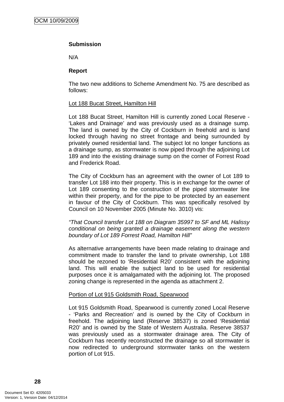# **Submission**

N/A

# **Report**

The two new additions to Scheme Amendment No. 75 are described as follows:

# Lot 188 Bucat Street, Hamilton Hill

Lot 188 Bucat Street, Hamilton Hill is currently zoned Local Reserve - 'Lakes and Drainage' and was previously used as a drainage sump. The land is owned by the City of Cockburn in freehold and is land locked through having no street frontage and being surrounded by privately owned residential land. The subject lot no longer functions as a drainage sump, as stormwater is now piped through the adjoining Lot 189 and into the existing drainage sump on the corner of Forrest Road and Frederick Road.

The City of Cockburn has an agreement with the owner of Lot 189 to transfer Lot 188 into their property. This is in exchange for the owner of Lot 189 consenting to the construction of the piped stormwater line within their property, and for the pipe to be protected by an easement in favour of the City of Cockburn. This was specifically resolved by Council on 10 November 2005 (Minute No. 3010) vis:

*"That Council transfer Lot 188 on Diagram 35997 to SF and ML Halissy conditional on being granted a drainage easement along the western boundary of Lot 189 Forrest Road, Hamilton Hill"* 

As alternative arrangements have been made relating to drainage and commitment made to transfer the land to private ownership, Lot 188 should be rezoned to 'Residential R20' consistent with the adjoining land. This will enable the subject land to be used for residential purposes once it is amalgamated with the adjoining lot. The proposed zoning change is represented in the agenda as attachment 2.

# Portion of Lot 915 Goldsmith Road, Spearwood

Lot 915 Goldsmith Road, Spearwood is currently zoned Local Reserve - 'Parks and Recreation' and is owned by the City of Cockburn in freehold. The adjoining land (Reserve 38537) is zoned 'Residential R20' and is owned by the State of Western Australia. Reserve 38537 was previously used as a stormwater drainage area. The City of Cockburn has recently reconstructed the drainage so all stormwater is now redirected to underground stormwater tanks on the western portion of Lot 915.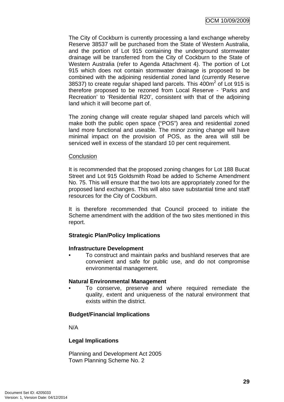The City of Cockburn is currently processing a land exchange whereby Reserve 38537 will be purchased from the State of Western Australia, and the portion of Lot 915 containing the underground stormwater drainage will be transferred from the City of Cockburn to the State of Western Australia (refer to Agenda Attachment 4). The portion of Lot 915 which does not contain stormwater drainage is proposed to be combined with the adjoining residential zoned land (currently Reserve 38537) to create regular shaped land parcels. This  $400m^2$  of Lot 915 is therefore proposed to be rezoned from Local Reserve - 'Parks and Recreation' to 'Residential R20', consistent with that of the adjoining land which it will become part of.

The zoning change will create regular shaped land parcels which will make both the public open space ("POS") area and residential zoned land more functional and useable. The minor zoning change will have minimal impact on the provision of POS, as the area will still be serviced well in excess of the standard 10 per cent requirement.

#### **Conclusion**

It is recommended that the proposed zoning changes for Lot 188 Bucat Street and Lot 915 Goldsmith Road be added to Scheme Amendment No. 75. This will ensure that the two lots are appropriately zoned for the proposed land exchanges. This will also save substantial time and staff resources for the City of Cockburn.

It is therefore recommended that Council proceed to initiate the Scheme amendment with the addition of the two sites mentioned in this report.

# **Strategic Plan/Policy Implications**

# **Infrastructure Development**

• To construct and maintain parks and bushland reserves that are convenient and safe for public use, and do not compromise environmental management.

# **Natural Environmental Management**

• To conserve, preserve and where required remediate the quality, extent and uniqueness of the natural environment that exists within the district.

# **Budget/Financial Implications**

N/A

# **Legal Implications**

Planning and Development Act 2005 Town Planning Scheme No. 2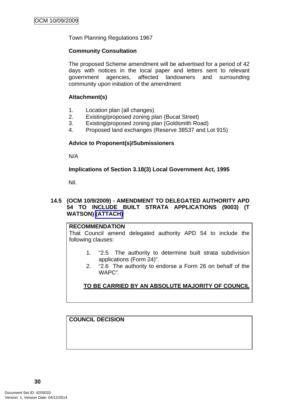Town Planning Regulations 1967

#### **Community Consultation**

The proposed Scheme amendment will be advertised for a period of 42 days with notices in the local paper and letters sent to relevant government agencies, affected landowners and surrounding community upon initiation of the amendment

#### **Attachment(s)**

- 1. Location plan (all changes)
- 2. Existing/proposed zoning plan (Bucat Street)
- 3. Existing/proposed zoning plan (Goldsmith Road)
- 4. Proposed land exchanges (Reserve 38537 and Lot 915)

#### **Advice to Proponent(s)/Submissioners**

N/A

**Implications of Section 3.18(3) Local Government Act, 1995**

Nil.

#### <span id="page-33-0"></span>**14.5 (OCM 10/9/2009) - AMENDMENT TO DELEGATED AUTHORITY APD 54 TO INCLUDE BUILT STRATA APPLICATIONS (9003) (T WATSON) (ATTACH)**

#### **RECOMMENDATION**

That Council amend delegated authority APD 54 to include the following clauses:

- 1. "2.5 The authority to determine built strata subdivision applications (Form 24)".
- 2. "2.6 The authority to endorse a Form 26 on behalf of the WAPC".

# **TO BE CARRIED BY AN ABSOLUTE MAJORITY OF COUNCIL**

**COUNCIL DECISION**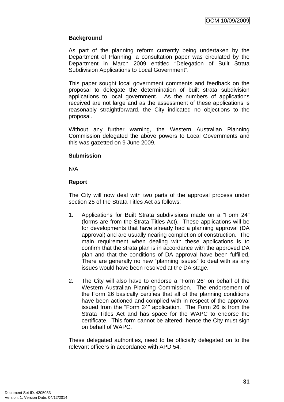# **Background**

As part of the planning reform currently being undertaken by the Department of Planning, a consultation paper was circulated by the Department in March 2009 entitled "Delegation of Built Strata Subdivision Applications to Local Government".

This paper sought local government comments and feedback on the proposal to delegate the determination of built strata subdivision applications to local government. As the numbers of applications received are not large and as the assessment of these applications is reasonably straightforward, the City indicated no objections to the proposal.

Without any further warning, the Western Australian Planning Commission delegated the above powers to Local Governments and this was gazetted on 9 June 2009.

# **Submission**

N/A

# **Report**

The City will now deal with two parts of the approval process under section 25 of the Strata Titles Act as follows:

- 1. Applications for Built Strata subdivisions made on a "Form 24" (forms are from the Strata Titles Act). These applications will be for developments that have already had a planning approval (DA approval) and are usually nearing completion of construction. The main requirement when dealing with these applications is to confirm that the strata plan is in accordance with the approved DA plan and that the conditions of DA approval have been fulfilled. There are generally no new "planning issues" to deal with as any issues would have been resolved at the DA stage.
- 2. The City will also have to endorse a "Form 26" on behalf of the Western Australian Planning Commission. The endorsement of the Form 26 basically certifies that all of the planning conditions have been actioned and complied with in respect of the approval issued from the "Form 24" application. The Form 26 is from the Strata Titles Act and has space for the WAPC to endorse the certificate. This form cannot be altered; hence the City must sign on behalf of WAPC.

These delegated authorities, need to be officially delegated on to the relevant officers in accordance with APD 54.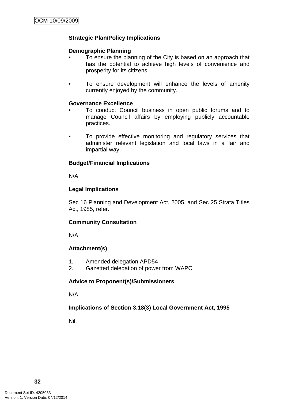# **Strategic Plan/Policy Implications**

# **Demographic Planning**

- To ensure the planning of the City is based on an approach that has the potential to achieve high levels of convenience and prosperity for its citizens.
- To ensure development will enhance the levels of amenity currently enjoyed by the community.

# **Governance Excellence**

- To conduct Council business in open public forums and to manage Council affairs by employing publicly accountable practices.
- To provide effective monitoring and regulatory services that administer relevant legislation and local laws in a fair and impartial way.

# **Budget/Financial Implications**

N/A

# **Legal Implications**

Sec 16 Planning and Development Act, 2005, and Sec 25 Strata Titles Act, 1985, refer.

# **Community Consultation**

N/A

# **Attachment(s)**

- 1. Amended delegation APD54
- 2. Gazetted delegation of power from WAPC

# **Advice to Proponent(s)/Submissioners**

N/A

# **Implications of Section 3.18(3) Local Government Act, 1995**

Nil.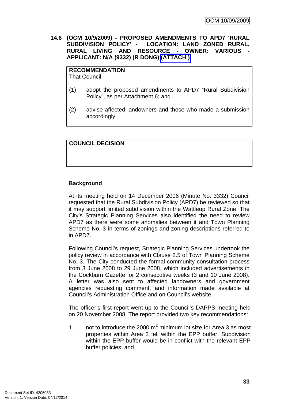**14.6 (OCM 10/9/2009) - PROPOSED AMENDMENTS TO APD7 'RURAL SUBDIVISION POLICY' - LOCATION: LAND ZONED RURAL, RURAL LIVING AND RESOURCE - OWNER: VARIOUS - APPLICANT: N/A (9332) (R DONG) (ATTACH )** 

#### **RECOMMENDATION**

That Council:

- (1) adopt the proposed amendments to APD7 "Rural Subdivision Policy", as per Attachment 6; and
- (2) advise affected landowners and those who made a submission accordingly.

# **COUNCIL DECISION**

# **Background**

At its meeting held on 14 December 2006 (Minute No. 3332) Council requested that the Rural Subdivision Policy (APD7) be reviewed so that it may support limited subdivision within the Wattleup Rural Zone. The City's Strategic Planning Services also identified the need to review APD7 as there were some anomalies between it and Town Planning Scheme No. 3 in terms of zonings and zoning descriptions referred to in APD7.

Following Council's request, Strategic Planning Services undertook the policy review in accordance with Clause 2.5 of Town Planning Scheme No. 3. The City conducted the formal community consultation process from 3 June 2008 to 29 June 2008, which included advertisements in the Cockburn Gazette for 2 consecutive weeks (3 and 10 June 2008). A letter was also sent to affected landowners and government agencies requesting comment, and information made available at Council's Administration Office and on Council's website.

The officer's first report went up to the Council's DAPPS meeting held on 20 November 2008. The report provided two key recommendations:

1. not to introduce the 2000  $m^2$  minimum lot size for Area 3 as most properties within Area 3 fell within the EPP buffer. Subdivision within the EPP buffer would be in conflict with the relevant EPP buffer policies; and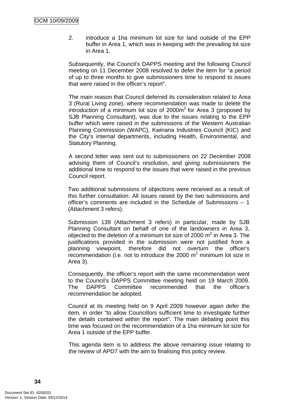2. introduce a 1ha minimum lot size for land outside of the EPP buffer in Area 1, which was in keeping with the prevailing lot size in Area 1.

Subsequently, the Council's DAPPS meeting and the following Council meeting on 11 December 2008 resolved to defer the item for "a period of up to three months to give submissioners time to respond to issues that were raised in the officer's report".

The main reason that Council deferred its consideration related to Area 3 (Rural Living zone), where recommendation was made to delete the introduction of a minimum lot size of  $2000m^2$  for Area 3 (proposed by SJB Planning Consultant), was due to the issues relating to the EPP buffer which were raised in the submissions of the Western Australian Planning Commission (WAPC), Kwinana Industries Council (KIC) and the City's internal departments, including Health, Environmental, and Statutory Planning.

A second letter was sent out to submissioners on 22 December 2008 advising them of Council's resolution, and giving submissioners the additional time to respond to the issues that were raised in the previous Council report.

Two additional submissions of objections were received as a result of this further consultation. All issues raised by the two submissions and officer's comments are included in the Schedule of Submissions – 1 (Attachment 3 refers).

Submission 139 (Attachment 3 refers) in particular, made by SJB Planning Consultant on behalf of one of the landowners in Area 3, objected to the deletion of a minimum lot size of 2000  $m^2$  in Area 3. The justifications provided in the submission were not justified from a planning viewpoint, therefore did not overturn the officer's recommendation (i.e. not to introduce the 2000  $m^2$  minimum lot size in Area 3).

Consequently, the officer's report with the same recommendation went to the Council's DAPPS Committee meeting held on 19 March 2009. The DAPPS Committee recommended that the officer's recommendation be adopted.

Council at its meeting held on 9 April 2009 however again defer the item, in order "to allow Councillors sufficient time to investigate further the details contained within the report". The main debating point this time was focused on the recommendation of a 1ha minimum lot size for Area 1 outside of the EPP buffer.

This agenda item is to address the above remaining issue relating to the review of APD7 with the aim to finalising this policy review.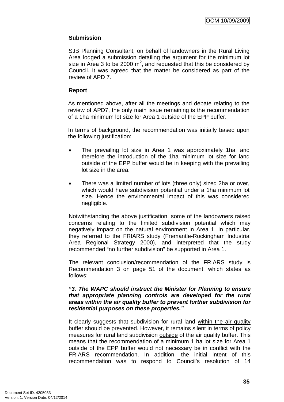# **Submission**

SJB Planning Consultant, on behalf of landowners in the Rural Living Area lodged a submission detailing the argument for the minimum lot size in Area 3 to be 2000  $m^2$ , and requested that this be considered by Council. It was agreed that the matter be considered as part of the review of APD 7.

## **Report**

As mentioned above, after all the meetings and debate relating to the review of APD7, the only main issue remaining is the recommendation of a 1ha minimum lot size for Area 1 outside of the EPP buffer.

In terms of background, the recommendation was initially based upon the following justification:

- The prevailing lot size in Area 1 was approximately 1ha, and therefore the introduction of the 1ha minimum lot size for land outside of the EPP buffer would be in keeping with the prevailing lot size in the area.
- There was a limited number of lots (three only) sized 2ha or over, which would have subdivision potential under a 1ha minimum lot size. Hence the environmental impact of this was considered negligible.

Notwithstanding the above justification, some of the landowners raised concerns relating to the limited subdivision potential which may negatively impact on the natural environment in Area 1. In particular, they referred to the FRIARS study (Fremantle-Rockingham Industrial Area Regional Strategy 2000), and interpreted that the study recommended "no further subdivision" be supported in Area 1.

The relevant conclusion/recommendation of the FRIARS study is Recommendation 3 on page 51 of the document, which states as follows:

#### *"3. The WAPC should instruct the Minister for Planning to ensure that appropriate planning controls are developed for the rural areas within the air quality buffer to prevent further subdivision for residential purposes on these properties."*

It clearly suggests that subdivision for rural land within the air quality buffer should be prevented. However, it remains silent in terms of policy measures for rural land subdivision outside of the air quality buffer. This means that the recommendation of a minimum 1 ha lot size for Area 1 outside of the EPP buffer would not necessary be in conflict with the FRIARS recommendation. In addition, the initial intent of this recommendation was to respond to Council's resolution of 14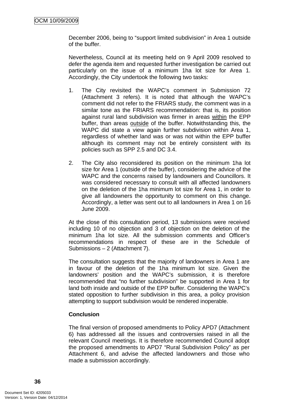December 2006, being to "support limited subdivision" in Area 1 outside of the buffer.

Nevertheless, Council at its meeting held on 9 April 2009 resolved to defer the agenda item and requested further investigation be carried out particularly on the issue of a minimum 1ha lot size for Area 1. Accordingly, the City undertook the following two tasks:

- 1. The City revisited the WAPC's comment in Submission 72 (Attachment 3 refers). It is noted that although the WAPC's comment did not refer to the FRIARS study, the comment was in a similar tone as the FRIARS recommendation: that is, its position against rural land subdivision was firmer in areas within the EPP buffer, than areas outside of the buffer. Notwithstanding this, the WAPC did state a view again further subdivision within Area 1, regardless of whether land was or was not within the EPP buffer although its comment may not be entirely consistent with its policies such as SPP 2.5 and DC 3.4.
- 2. The City also reconsidered its position on the minimum 1ha lot size for Area 1 (outside of the buffer), considering the advice of the WAPC and the concerns raised by landowners and Councillors. It was considered necessary to consult with all affected landowners on the deletion of the 1ha minimum lot size for Area 1, in order to give all landowners the opportunity to comment on this change. Accordingly, a letter was sent out to all landowners in Area 1 on 16 June 2009.

At the close of this consultation period, 13 submissions were received including 10 of no objection and 3 of objection on the deletion of the minimum 1ha lot size. All the submission comments and Officer's recommendations in respect of these are in the Schedule of Submissions – 2 (Attachment 7).

The consultation suggests that the majority of landowners in Area 1 are in favour of the deletion of the 1ha minimum lot size. Given the landowners' position and the WAPC's submission, it is therefore recommended that "no further subdivision" be supported in Area 1 for land both inside and outside of the EPP buffer. Considering the WAPC's stated opposition to further subdivision in this area, a policy provision attempting to support subdivision would be rendered inoperable.

### **Conclusion**

The final version of proposed amendments to Policy APD7 (Attachment 6) has addressed all the issues and controversies raised in all the relevant Council meetings. It is therefore recommended Council adopt the proposed amendments to APD7 "Rural Subdivision Policy" as per Attachment 6, and advise the affected landowners and those who made a submission accordingly.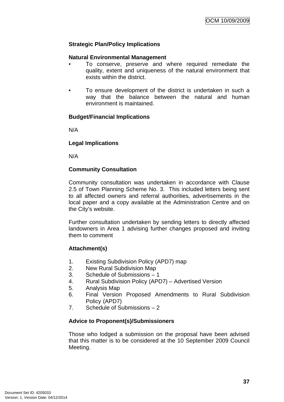# **Strategic Plan/Policy Implications**

## **Natural Environmental Management**

- To conserve, preserve and where required remediate the quality, extent and uniqueness of the natural environment that exists within the district.
- To ensure development of the district is undertaken in such a way that the balance between the natural and human environment is maintained.

### **Budget/Financial Implications**

N/A

### **Legal Implications**

N/A

# **Community Consultation**

Community consultation was undertaken in accordance with Clause 2.5 of Town Planning Scheme No. 3. This included letters being sent to all affected owners and referral authorities, advertisements in the local paper and a copy available at the Administration Centre and on the City's website.

Further consultation undertaken by sending letters to directly affected landowners in Area 1 advising further changes proposed and inviting them to comment

### **Attachment(s)**

- 1. Existing Subdivision Policy (APD7) map
- 2. New Rural Subdivision Map
- 3. Schedule of Submissions 1
- 4. Rural Subdivision Policy (APD7) Advertised Version
- 5. Analysis Map
- 6. Final Version Proposed Amendments to Rural Subdivision Policy (APD7)
- 7. Schedule of Submissions 2

# **Advice to Proponent(s)/Submissioners**

Those who lodged a submission on the proposal have been advised that this matter is to be considered at the 10 September 2009 Council Meeting.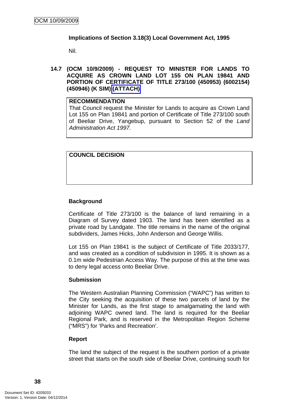### **Implications of Section 3.18(3) Local Government Act, 1995**

Nil.

**14.7 (OCM 10/9/2009) - REQUEST TO MINISTER FOR LANDS TO ACQUIRE AS CROWN LAND LOT 155 ON PLAN 19841 AND PORTION OF CERTIFICATE OF TITLE 273/100 (450953) (6002154) (450946) (K SIM) (ATTACH)** 

#### **RECOMMENDATION**

That Council request the Minister for Lands to acquire as Crown Land Lot 155 on Plan 19841 and portion of Certificate of Title 273/100 south of Beeliar Drive, Yangebup, pursuant to Section 52 of the *Land Administration Act 1997.*

## **COUNCIL DECISION**

# **Background**

Certificate of Title 273/100 is the balance of land remaining in a Diagram of Survey dated 1903. The land has been identified as a private road by Landgate. The title remains in the name of the original subdividers, James Hicks, John Anderson and George Willis.

Lot 155 on Plan 19841 is the subject of Certificate of Title 2033/177, and was created as a condition of subdivision in 1995. It is shown as a 0.1m wide Pedestrian Access Way. The purpose of this at the time was to deny legal access onto Beeliar Drive.

### **Submission**

The Western Australian Planning Commission ("WAPC") has written to the City seeking the acquisition of these two parcels of land by the Minister for Lands, as the first stage to amalgamating the land with adjoining WAPC owned land. The land is required for the Beeliar Regional Park, and is reserved in the Metropolitan Region Scheme ("MRS") for 'Parks and Recreation'.

### **Report**

The land the subject of the request is the southern portion of a private street that starts on the south side of Beeliar Drive, continuing south for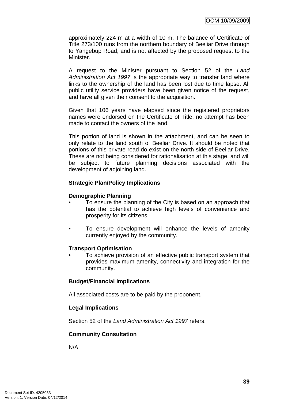approximately 224 m at a width of 10 m. The balance of Certificate of Title 273/100 runs from the northern boundary of Beeliar Drive through to Yangebup Road, and is not affected by the proposed request to the Minister.

A request to the Minister pursuant to Section 52 of the *Land Administration Act 1997* is the appropriate way to transfer land where links to the ownership of the land has been lost due to time lapse. All public utility service providers have been given notice of the request, and have all given their consent to the acquisition.

Given that 106 years have elapsed since the registered proprietors names were endorsed on the Certificate of Title, no attempt has been made to contact the owners of the land.

This portion of land is shown in the attachment, and can be seen to only relate to the land south of Beeliar Drive. It should be noted that portions of this private road do exist on the north side of Beeliar Drive. These are not being considered for rationalisation at this stage, and will be subject to future planning decisions associated with the development of adjoining land.

# **Strategic Plan/Policy Implications**

### **Demographic Planning**

- To ensure the planning of the City is based on an approach that has the potential to achieve high levels of convenience and prosperity for its citizens.
- To ensure development will enhance the levels of amenity currently enjoyed by the community.

### **Transport Optimisation**

• To achieve provision of an effective public transport system that provides maximum amenity, connectivity and integration for the community.

# **Budget/Financial Implications**

All associated costs are to be paid by the proponent.

# **Legal Implications**

Section 52 of the *Land Administration Act 1997* refers.

### **Community Consultation**

N/A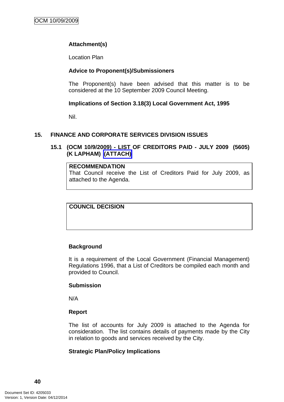# **Attachment(s)**

Location Plan

# **Advice to Proponent(s)/Submissioners**

The Proponent(s) have been advised that this matter is to be considered at the 10 September 2009 Council Meeting.

## **Implications of Section 3.18(3) Local Government Act, 1995**

Nil.

# **15. FINANCE AND CORPORATE SERVICES DIVISION ISSUES**

# **15.1 (OCM 10/9/2009) - LIST OF CREDITORS PAID - JULY 2009 (5605) (K LAPHAM) (ATTACH)**

## **RECOMMENDATION**

That Council receive the List of Creditors Paid for July 2009, as attached to the Agenda.

**COUNCIL DECISION** 

# **Background**

It is a requirement of the Local Government (Financial Management) Regulations 1996, that a List of Creditors be compiled each month and provided to Council.

### **Submission**

N/A

### **Report**

The list of accounts for July 2009 is attached to the Agenda for consideration. The list contains details of payments made by the City in relation to goods and services received by the City.

### **Strategic Plan/Policy Implications**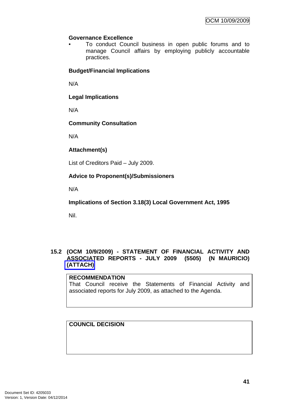## **Governance Excellence**

• To conduct Council business in open public forums and to manage Council affairs by employing publicly accountable practices.

# **Budget/Financial Implications**

N/A

**Legal Implications** 

N/A

# **Community Consultation**

N/A

# **Attachment(s)**

List of Creditors Paid – July 2009.

# **Advice to Proponent(s)/Submissioners**

N/A

**Implications of Section 3.18(3) Local Government Act, 1995**

Nil.

### **15.2 (OCM 10/9/2009) - STATEMENT OF FINANCIAL ACTIVITY AND ASSOCIATED REPORTS - JULY 2009 (5505) (N MAURICIO) (ATTACH)**

# **RECOMMENDATION** That Council receive the Statements of Financial Activity and associated reports for July 2009, as attached to the Agenda.

# **COUNCIL DECISION**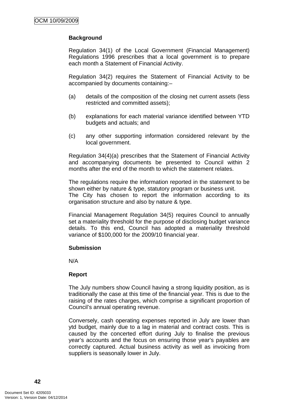# **Background**

Regulation 34(1) of the Local Government (Financial Management) Regulations 1996 prescribes that a local government is to prepare each month a Statement of Financial Activity.

Regulation 34(2) requires the Statement of Financial Activity to be accompanied by documents containing:–

- (a) details of the composition of the closing net current assets (less restricted and committed assets);
- (b) explanations for each material variance identified between YTD budgets and actuals; and
- (c) any other supporting information considered relevant by the local government.

Regulation 34(4)(a) prescribes that the Statement of Financial Activity and accompanying documents be presented to Council within 2 months after the end of the month to which the statement relates.

The regulations require the information reported in the statement to be shown either by nature & type, statutory program or business unit. The City has chosen to report the information according to its organisation structure and also by nature & type.

Financial Management Regulation 34(5) requires Council to annually set a materiality threshold for the purpose of disclosing budget variance details. To this end, Council has adopted a materiality threshold variance of \$100,000 for the 2009/10 financial year.

### **Submission**

N/A

### **Report**

The July numbers show Council having a strong liquidity position, as is traditionally the case at this time of the financial year. This is due to the raising of the rates charges, which comprise a significant proportion of Council's annual operating revenue.

Conversely, cash operating expenses reported in July are lower than ytd budget, mainly due to a lag in material and contract costs. This is caused by the concerted effort during July to finalise the previous year's accounts and the focus on ensuring those year's payables are correctly captured. Actual business activity as well as invoicing from suppliers is seasonally lower in July.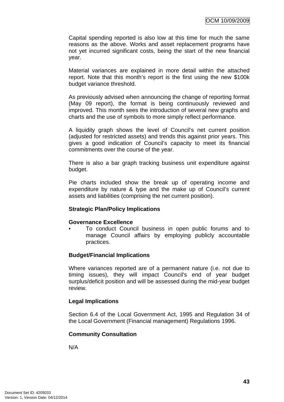Capital spending reported is also low at this time for much the same reasons as the above. Works and asset replacement programs have not yet incurred significant costs, being the start of the new financial year.

Material variances are explained in more detail within the attached report. Note that this month's report is the first using the new \$100k budget variance threshold.

As previously advised when announcing the change of reporting format (May 09 report), the format is being continuously reviewed and improved. This month sees the introduction of several new graphs and charts and the use of symbols to more simply reflect performance.

A liquidity graph shows the level of Council's net current position (adjusted for restricted assets) and trends this against prior years. This gives a good indication of Council's capacity to meet its financial commitments over the course of the year.

There is also a bar graph tracking business unit expenditure against budget.

Pie charts included show the break up of operating income and expenditure by nature & type and the make up of Council's current assets and liabilities (comprising the net current position).

### **Strategic Plan/Policy Implications**

#### **Governance Excellence**

• To conduct Council business in open public forums and to manage Council affairs by employing publicly accountable practices.

### **Budget/Financial Implications**

Where variances reported are of a permanent nature (i.e. not due to timing issues), they will impact Council's end of year budget surplus/deficit position and will be assessed during the mid-year budget review.

### **Legal Implications**

Section 6.4 of the Local Government Act, 1995 and Regulation 34 of the Local Government (Financial management) Regulations 1996.

### **Community Consultation**

N/A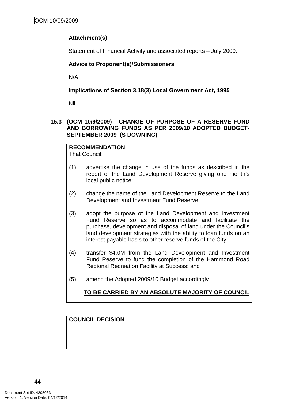# **Attachment(s)**

Statement of Financial Activity and associated reports – July 2009.

# **Advice to Proponent(s)/Submissioners**

N/A

**Implications of Section 3.18(3) Local Government Act, 1995**

Nil.

## **15.3 (OCM 10/9/2009) - CHANGE OF PURPOSE OF A RESERVE FUND AND BORROWING FUNDS AS PER 2009/10 ADOPTED BUDGET-SEPTEMBER 2009 (S DOWNING)**

#### **RECOMMENDATION** That Council:

- (1) advertise the change in use of the funds as described in the report of the Land Development Reserve giving one month's local public notice;
- (2) change the name of the Land Development Reserve to the Land Development and Investment Fund Reserve;
- (3) adopt the purpose of the Land Development and Investment Fund Reserve so as to accommodate and facilitate the purchase, development and disposal of land under the Council's land development strategies with the ability to loan funds on an interest payable basis to other reserve funds of the City;
- (4) transfer \$4.0M from the Land Development and Investment Fund Reserve to fund the completion of the Hammond Road Regional Recreation Facility at Success; and
- (5) amend the Adopted 2009/10 Budget accordingly.

**TO BE CARRIED BY AN ABSOLUTE MAJORITY OF COUNCIL**

# **COUNCIL DECISION**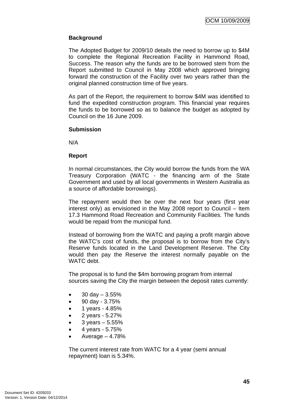# **Background**

The Adopted Budget for 2009/10 details the need to borrow up to \$4M to complete the Regional Recreation Facility in Hammond Road, Success. The reason why the funds are to be borrowed stem from the Report submitted to Council in May 2008 which approved bringing forward the construction of the Facility over two years rather than the original planned construction time of five years.

As part of the Report, the requirement to borrow \$4M was identified to fund the expedited construction program. This financial year requires the funds to be borrowed so as to balance the budget as adopted by Council on the 16 June 2009.

#### **Submission**

N/A

### **Report**

In normal circumstances, the City would borrow the funds from the WA Treasury Corporation (WATC - the financing arm of the State Government and used by all local governments in Western Australia as a source of affordable borrowings).

The repayment would then be over the next four years (first year interest only) as envisioned in the May 2008 report to Council – Item 17.3 Hammond Road Recreation and Community Facilities. The funds would be repaid from the municipal fund.

Instead of borrowing from the WATC and paying a profit margin above the WATC's cost of funds, the proposal is to borrow from the City's Reserve funds located in the Land Development Reserve. The City would then pay the Reserve the interest normally payable on the WATC debt.

The proposal is to fund the \$4m borrowing program from internal sources saving the City the margin between the deposit rates currently:

- $30 \text{ day} 3.55\%$
- 90 day 3.75%
- 1 years 4.85%
- 2 years 5.27%
- 3 years  $5.55%$
- 4 years 5.75%
- Average  $-4.78%$

The current interest rate from WATC for a 4 year (semi annual repayment) loan is 5.34%.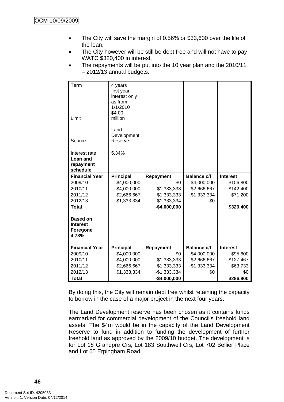- The City will save the margin of 0.56% or \$33,600 over the life of the loan,
- The City however will be still be debt free and will not have to pay WATC \$320,400 in interest.
- The repayments will be put into the 10 year plan and the 2010/11 – 2012/13 annual budgets.

| Term                  | 4 years           |               |                    |                 |
|-----------------------|-------------------|---------------|--------------------|-----------------|
|                       | first year        |               |                    |                 |
|                       | interest only     |               |                    |                 |
|                       | as from           |               |                    |                 |
|                       | 1/1/2010          |               |                    |                 |
| Limit                 | \$4.00<br>million |               |                    |                 |
|                       |                   |               |                    |                 |
|                       | Land              |               |                    |                 |
|                       | Development       |               |                    |                 |
| Source:               | Reserve           |               |                    |                 |
|                       |                   |               |                    |                 |
| Interest rate         | 5.34%             |               |                    |                 |
| Loan and              |                   |               |                    |                 |
| repayment<br>schedule |                   |               |                    |                 |
|                       |                   |               |                    |                 |
| <b>Financial Year</b> | <b>Principal</b>  | Repayment     | <b>Balance c/f</b> | <b>Interest</b> |
| 2009/10               | \$4,000,000       | \$0           | \$4,000,000        | \$106,800       |
| 2010/11               | \$4,000,000       | $-$1,333,333$ | \$2,666,667        | \$142,400       |
| 2011/12               | \$2,666,667       | $-$1,333,333$ | \$1,333,334        | \$71,200        |
| 2012/13               | \$1,333,334       | $-$1,333,334$ | \$0                |                 |
| <b>Total</b>          |                   | $-$4,000,000$ |                    | \$320,400       |
| <b>Based on</b>       |                   |               |                    |                 |
| <b>Interest</b>       |                   |               |                    |                 |
| <b>Foregone</b>       |                   |               |                    |                 |
| 4.78%                 |                   |               |                    |                 |
|                       |                   |               |                    |                 |
| <b>Financial Year</b> | <b>Principal</b>  | Repayment     | <b>Balance c/f</b> | <b>Interest</b> |
| 2009/10               | \$4,000,000       | \$0           | \$4,000,000        | \$95,600        |
| 2010/11               | \$4,000,000       | $-$1,333,333$ | \$2,666,667        | \$127,467       |
| 2011/12               | \$2,666,667       | $-$1,333,333$ | \$1,333,334        | \$63,733        |
| 2012/13               | \$1,333,334       | $-$1,333,334$ | \$0                | \$0             |
| Total                 |                   | $-$4,000,000$ |                    | \$286,800       |

By doing this, the City will remain debt free whilst retaining the capacity to borrow in the case of a major project in the next four years.

The Land Development reserve has been chosen as it contains funds earmarked for commercial development of the Council's freehold land assets. The \$4m would be in the capacity of the Land Development Reserve to fund in addition to funding the development of further freehold land as approved by the 2009/10 budget. The development is for Lot 18 Grandpre Crs, Lot 183 Southwell Crs, Lot 702 Bellier Place and Lot 65 Erpingham Road.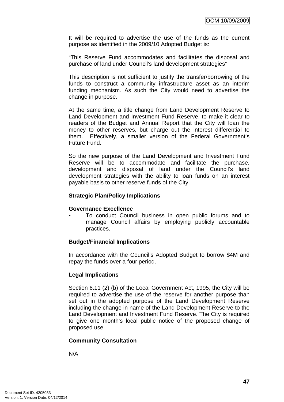It will be required to advertise the use of the funds as the current purpose as identified in the 2009/10 Adopted Budget is:

"This Reserve Fund accommodates and facilitates the disposal and purchase of land under Council's land development strategies"

This description is not sufficient to justify the transfer/borrowing of the funds to construct a community infrastructure asset as an interim funding mechanism. As such the City would need to advertise the change in purpose.

At the same time, a title change from Land Development Reserve to Land Development and Investment Fund Reserve, to make it clear to readers of the Budget and Annual Report that the City will loan the money to other reserves, but charge out the interest differential to them. Effectively, a smaller version of the Federal Government's Future Fund.

So the new purpose of the Land Development and Investment Fund Reserve will be to accommodate and facilitate the purchase, development and disposal of land under the Council's land development strategies with the ability to loan funds on an interest payable basis to other reserve funds of the City.

### **Strategic Plan/Policy Implications**

#### **Governance Excellence**

• To conduct Council business in open public forums and to manage Council affairs by employing publicly accountable practices.

### **Budget/Financial Implications**

In accordance with the Council's Adopted Budget to borrow \$4M and repay the funds over a four period.

### **Legal Implications**

Section 6.11 (2) (b) of the Local Government Act, 1995, the City will be required to advertise the use of the reserve for another purpose than set out in the adopted purpose of the Land Development Reserve including the change in name of the Land Development Reserve to the Land Development and Investment Fund Reserve. The City is required to give one month's local public notice of the proposed change of proposed use.

### **Community Consultation**

N/A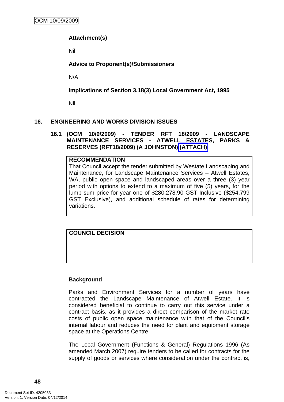# **Attachment(s)**

Nil

# **Advice to Proponent(s)/Submissioners**

N/A

**Implications of Section 3.18(3) Local Government Act, 1995**

Nil.

### **16. ENGINEERING AND WORKS DIVISION ISSUES**

#### **16.1 (OCM 10/9/2009) - TENDER RFT 18/2009 - LANDSCAPE MAINTENANCE SERVICES - ATWELL ESTATES, PARKS & RESERVES (RFT18/2009) (A JOHNSTON) (ATTACH)**

#### **RECOMMENDATION**

That Council accept the tender submitted by Westate Landscaping and Maintenance, for Landscape Maintenance Services – Atwell Estates, WA, public open space and landscaped areas over a three (3) year period with options to extend to a maximum of five (5) years, for the lump sum price for year one of \$280,278.90 GST Inclusive (\$254,799 GST Exclusive), and additional schedule of rates for determining variations.

**COUNCIL DECISION** 

### **Background**

Parks and Environment Services for a number of years have contracted the Landscape Maintenance of Atwell Estate. It is considered beneficial to continue to carry out this service under a contract basis, as it provides a direct comparison of the market rate costs of public open space maintenance with that of the Council's internal labour and reduces the need for plant and equipment storage space at the Operations Centre.

The Local Government (Functions & General) Regulations 1996 (As amended March 2007) require tenders to be called for contracts for the supply of goods or services where consideration under the contract is,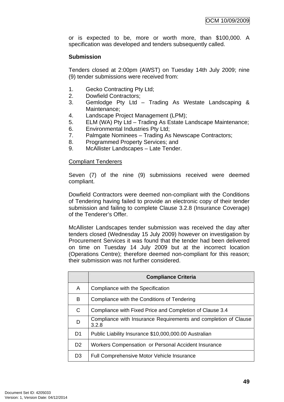or is expected to be, more or worth more, than \$100,000. A specification was developed and tenders subsequently called.

## **Submission**

Tenders closed at 2:00pm (AWST) on Tuesday 14th July 2009; nine (9) tender submissions were received from:

- 1. Gecko Contracting Pty Ltd;
- 2. Dowfield Contractors;
- 3. Gemlodge Pty Ltd Trading As Westate Landscaping & Maintenance;
- 4. Landscape Project Management (LPM);
- 5. ELM (WA) Pty Ltd Trading As Estate Landscape Maintenance;
- 6. Environmental Industries Pty Ltd;
- 7. Palmgate Nominees Trading As Newscape Contractors;
- 8. Programmed Property Services; and
- 9. McAllister Landscapes Late Tender.

### Compliant Tenderers

Seven (7) of the nine (9) submissions received were deemed compliant.

Dowfield Contractors were deemed non-compliant with the Conditions of Tendering having failed to provide an electronic copy of their tender submission and failing to complete Clause 3.2.8 (Insurance Coverage) of the Tenderer's Offer.

McAllister Landscapes tender submission was received the day after tenders closed (Wednesday 15 July 2009) however on investigation by Procurement Services it was found that the tender had been delivered on time on Tuesday 14 July 2009 but at the incorrect location (Operations Centre); therefore deemed non-compliant for this reason; their submission was not further considered.

|                | <b>Compliance Criteria</b>                                               |
|----------------|--------------------------------------------------------------------------|
| A              | Compliance with the Specification                                        |
| B              | Compliance with the Conditions of Tendering                              |
| C              | Compliance with Fixed Price and Completion of Clause 3.4                 |
| D              | Compliance with Insurance Requirements and completion of Clause<br>3.2.8 |
| D1             | Public Liability Insurance \$10,000,000.00 Australian                    |
| D <sub>2</sub> | Workers Compensation or Personal Accident Insurance                      |
| D <sub>3</sub> | <b>Full Comprehensive Motor Vehicle Insurance</b>                        |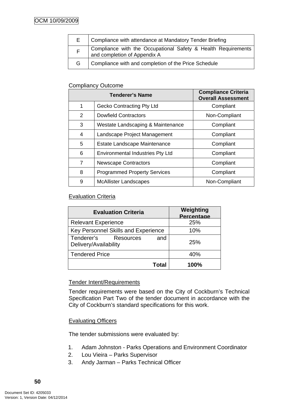| E. | Compliance with attendance at Mandatory Tender Briefing                                       |
|----|-----------------------------------------------------------------------------------------------|
|    | Compliance with the Occupational Safety & Health Requirements<br>and completion of Appendix A |
| G  | Compliance with and completion of the Price Schedule                                          |

# Compliancy Outcome

| <b>Tenderer's Name</b> |                                         | <b>Compliance Criteria</b><br><b>Overall Assessment</b> |
|------------------------|-----------------------------------------|---------------------------------------------------------|
| 1                      | Gecko Contracting Pty Ltd               | Compliant                                               |
| 2                      | <b>Dowfield Contractors</b>             | Non-Compliant                                           |
| 3                      | Westate Landscaping & Maintenance       | Compliant                                               |
| 4                      | Landscape Project Management            | Compliant                                               |
| 5                      | Estate Landscape Maintenance            | Compliant                                               |
| 6                      | <b>Environmental Industries Pty Ltd</b> | Compliant                                               |
| $\overline{7}$         | <b>Newscape Contractors</b>             | Compliant                                               |
| 8                      | <b>Programmed Property Services</b>     | Compliant                                               |
| 9                      | <b>McAllister Landscapes</b>            | Non-Compliant                                           |

# Evaluation Criteria

| <b>Evaluation Criteria</b>                                     | Weighting<br>Percentage |
|----------------------------------------------------------------|-------------------------|
| <b>Relevant Experience</b>                                     | 25%                     |
| Key Personnel Skills and Experience                            | 10%                     |
| Tenderer's<br><b>Resources</b><br>and<br>Delivery/Availability | 25%                     |
| <b>Tendered Price</b>                                          | 40%                     |
| Total                                                          | 100%                    |

# Tender Intent/Requirements

Tender requirements were based on the City of Cockburn's Technical Specification Part Two of the tender document in accordance with the City of Cockburn's standard specifications for this work.

### Evaluating Officers

The tender submissions were evaluated by:

- 1. Adam Johnston Parks Operations and Environment Coordinator
- 2. Lou Vieira Parks Supervisor
- 3. Andy Jarman Parks Technical Officer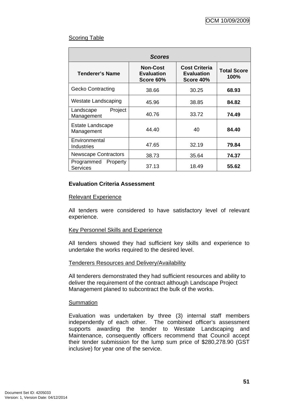# Scoring Table

| <b>Scores</b>                      |                                                   |                                                        |                                   |
|------------------------------------|---------------------------------------------------|--------------------------------------------------------|-----------------------------------|
| Tenderer's Name                    | <b>Non-Cost</b><br><b>Evaluation</b><br>Score 60% | <b>Cost Criteria</b><br><b>Evaluation</b><br>Score 40% | <b>Total Score</b><br><b>100%</b> |
| <b>Gecko Contracting</b>           | 38.66                                             | 30.25                                                  | 68.93                             |
| Westate Landscaping                | 45.96                                             | 38.85                                                  | 84.82                             |
| Project<br>Landscape<br>Management | 40.76                                             | 33.72                                                  | 74.49                             |
| Estate Landscape<br>Management     | 44.40                                             | 40                                                     | 84.40                             |
| Environmental<br>Industries        | 47.65                                             | 32.19                                                  | 79.84                             |
| <b>Newscape Contractors</b>        | 38.73                                             | 35.64                                                  | 74.37                             |
| Programmed<br>Property<br>Services | 37.13                                             | 18.49                                                  | 55.62                             |

# **Evaluation Criteria Assessment**

#### Relevant Experience

All tenders were considered to have satisfactory level of relevant experience.

### Key Personnel Skills and Experience

All tenders showed they had sufficient key skills and experience to undertake the works required to the desired level.

### Tenderers Resources and Delivery/Availability

All tenderers demonstrated they had sufficient resources and ability to deliver the requirement of the contract although Landscape Project Management planed to subcontract the bulk of the works.

#### **Summation**

Evaluation was undertaken by three (3) internal staff members independently of each other. The combined officer's assessment supports awarding the tender to Westate Landscaping and Maintenance, consequently officers recommend that Council accept their tender submission for the lump sum price of \$280,278.90 (GST inclusive) for year one of the service.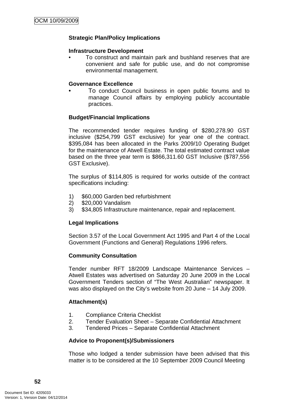# **Strategic Plan/Policy Implications**

#### **Infrastructure Development**

• To construct and maintain park and bushland reserves that are convenient and safe for public use, and do not compromise environmental management.

#### **Governance Excellence**

• To conduct Council business in open public forums and to manage Council affairs by employing publicly accountable practices.

### **Budget/Financial Implications**

The recommended tender requires funding of \$280,278.90 GST inclusive (\$254,799 GST exclusive) for year one of the contract. \$395,084 has been allocated in the Parks 2009/10 Operating Budget for the maintenance of Atwell Estate. The total estimated contract value based on the three year term is \$866,311.60 GST Inclusive (\$787,556 GST Exclusive).

The surplus of \$114,805 is required for works outside of the contract specifications including:

- 1) \$60,000 Garden bed refurbishment
- 2) \$20,000 Vandalism
- 3) \$34,805 Infrastructure maintenance, repair and replacement.

### **Legal Implications**

Section 3.57 of the Local Government Act 1995 and Part 4 of the Local Government (Functions and General) Regulations 1996 refers.

### **Community Consultation**

Tender number RFT 18/2009 Landscape Maintenance Services – Atwell Estates was advertised on Saturday 20 June 2009 in the Local Government Tenders section of "The West Australian" newspaper. It was also displayed on the City's website from 20 June – 14 July 2009.

### **Attachment(s)**

- 1. Compliance Criteria Checklist
- 2. Tender Evaluation Sheet Separate Confidential Attachment
- 3. Tendered Prices Separate Confidential Attachment

### **Advice to Proponent(s)/Submissioners**

Those who lodged a tender submission have been advised that this matter is to be considered at the 10 September 2009 Council Meeting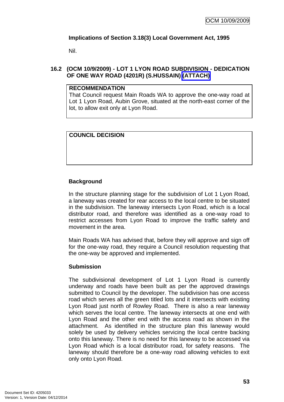# **Implications of Section 3.18(3) Local Government Act, 1995**

Nil.

# **16.2 (OCM 10/9/2009) - LOT 1 LYON ROAD SUBDIVISION - DEDICATION OF ONE WAY ROAD (4201R) (S.HUSSAIN) (ATTACH)**

### **RECOMMENDATION**

That Council request Main Roads WA to approve the one-way road at Lot 1 Lyon Road, Aubin Grove, situated at the north-east corner of the lot, to allow exit only at Lyon Road.

# **COUNCIL DECISION**

# **Background**

In the structure planning stage for the subdivision of Lot 1 Lyon Road, a laneway was created for rear access to the local centre to be situated in the subdivision. The laneway intersects Lyon Road, which is a local distributor road, and therefore was identified as a one-way road to restrict accesses from Lyon Road to improve the traffic safety and movement in the area.

Main Roads WA has advised that, before they will approve and sign off for the one-way road, they require a Council resolution requesting that the one-way be approved and implemented.

### **Submission**

The subdivisional development of Lot 1 Lyon Road is currently underway and roads have been built as per the approved drawings submitted to Council by the developer. The subdivision has one access road which serves all the green titled lots and it intersects with existing Lyon Road just north of Rowley Road. There is also a rear laneway which serves the local centre. The laneway intersects at one end with Lyon Road and the other end with the access road as shown in the attachment. As identified in the structure plan this laneway would solely be used by delivery vehicles servicing the local centre backing onto this laneway. There is no need for this laneway to be accessed via Lyon Road which is a local distributor road, for safety reasons. The laneway should therefore be a one-way road allowing vehicles to exit only onto Lyon Road.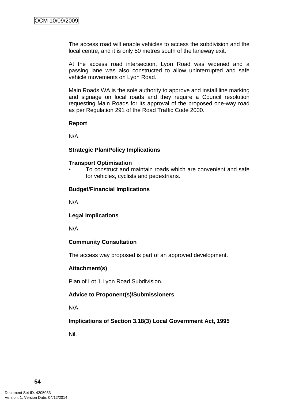The access road will enable vehicles to access the subdivision and the local centre, and it is only 50 metres south of the laneway exit.

At the access road intersection, Lyon Road was widened and a passing lane was also constructed to allow uninterrupted and safe vehicle movements on Lyon Road.

Main Roads WA is the sole authority to approve and install line marking and signage on local roads and they require a Council resolution requesting Main Roads for its approval of the proposed one-way road as per Regulation 291 of the Road Traffic Code 2000.

#### **Report**

N/A

### **Strategic Plan/Policy Implications**

#### **Transport Optimisation**

• To construct and maintain roads which are convenient and safe for vehicles, cyclists and pedestrians.

### **Budget/Financial Implications**

N/A

### **Legal Implications**

N/A

### **Community Consultation**

The access way proposed is part of an approved development.

### **Attachment(s)**

Plan of Lot 1 Lyon Road Subdivision.

## **Advice to Proponent(s)/Submissioners**

N/A

**Implications of Section 3.18(3) Local Government Act, 1995**

Nil.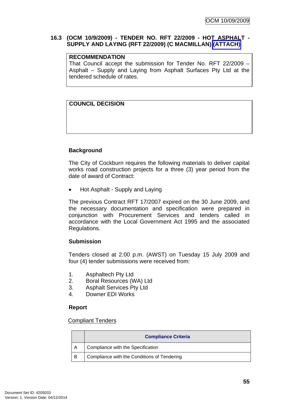## **16.3 (OCM 10/9/2009) - TENDER NO. RFT 22/2009 - HOT ASPHALT - SUPPLY AND LAYING (RFT 22/2009) (C MACMILLAN) (ATTACH)**

# **RECOMMENDATION**

That Council accept the submission for Tender No. RFT 22/2009 – Asphalt – Supply and Laying from Asphalt Surfaces Pty Ltd at the tendered schedule of rates.

# **COUNCIL DECISION**

# **Background**

The City of Cockburn requires the following materials to deliver capital works road construction projects for a three (3) year period from the date of award of Contract:

• Hot Asphalt - Supply and Laying

The previous Contract RFT 17/2007 expired on the 30 June 2009, and the necessary documentation and specification were prepared in conjunction with Procurement Services and tenders called in accordance with the Local Government Act 1995 and the associated Regulations.

### **Submission**

Tenders closed at 2:00 p.m. (AWST) on Tuesday 15 July 2009 and four (4) tender submissions were received from:

- 1. Asphaltech Pty Ltd
- 2. Boral Resources (WA) Ltd
- 3. Asphalt Services Pty Ltd
- 4. Downer EDI Works

### **Report**

### Compliant Tenders

|   | <b>Compliance Criteria</b>                  |
|---|---------------------------------------------|
|   | Compliance with the Specification           |
| B | Compliance with the Conditions of Tendering |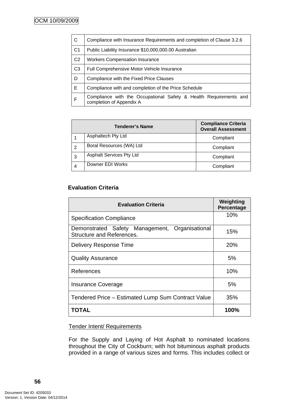| $\mathsf{C}$   | Compliance with Insurance Requirements and completion of Clause 3.2.6                         |
|----------------|-----------------------------------------------------------------------------------------------|
| C <sub>1</sub> | Public Liability Insurance \$10,000,000.00 Australian                                         |
| C <sub>2</sub> | <b>Workers Compensation Insurance</b>                                                         |
| C <sub>3</sub> | <b>Full Comprehensive Motor Vehicle Insurance</b>                                             |
| D              | Compliance with the Fixed Price Clauses                                                       |
| E              | Compliance with and completion of the Price Schedule                                          |
| $\mathsf{F}$   | Compliance with the Occupational Safety & Health Requirements and<br>completion of Appendix A |

|   | <b>Tenderer's Name</b>          | <b>Compliance Criteria</b><br><b>Overall Assessment</b> |
|---|---------------------------------|---------------------------------------------------------|
|   | Asphaltech Pty Ltd              | Compliant                                               |
| 2 | Boral Resources (WA) Ltd        | Compliant                                               |
| 3 | <b>Asphalt Services Pty Ltd</b> | Compliant                                               |
| 4 | Downer EDI Works                | Compliant                                               |

# **Evaluation Criteria**

| <b>Evaluation Criteria</b>                                                     | Weighting<br>Percentage |
|--------------------------------------------------------------------------------|-------------------------|
| <b>Specification Compliance</b>                                                | 10%                     |
| Management, Organisational<br>Demonstrated Safety<br>Structure and References. | 15%                     |
| <b>Delivery Response Time</b>                                                  | 20%                     |
| <b>Quality Assurance</b>                                                       | 5%                      |
| References                                                                     | 10%                     |
| <b>Insurance Coverage</b>                                                      | 5%                      |
| Tendered Price - Estimated Lump Sum Contract Value                             | 35%                     |
| TOTAL                                                                          | 100%                    |

### Tender Intent/ Requirements

For the Supply and Laying of Hot Asphalt to nominated locations throughout the City of Cockburn; with hot bituminous asphalt products provided in a range of various sizes and forms. This includes collect or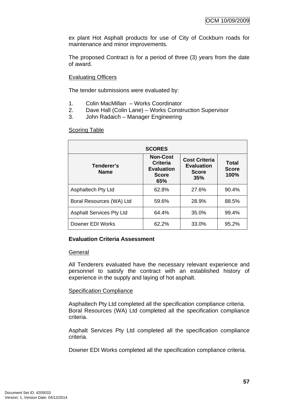ex plant Hot Asphalt products for use of City of Cockburn roads for maintenance and minor improvements.

The proposed Contract is for a period of three (3) years from the date of award.

# Evaluating Officers

The tender submissions were evaluated by:

- 1. Colin MacMillan Works Coordinator
- 2. Dave Hall (Colin Lane) Works Construction Supervisor
- 3. John Radaich Manager Engineering

### **Scoring Table**

|                                 | <b>SCORES</b>                                                           |                                                                  |                               |
|---------------------------------|-------------------------------------------------------------------------|------------------------------------------------------------------|-------------------------------|
| Tenderer's<br><b>Name</b>       | <b>Non-Cost</b><br>Criteria<br><b>Evaluation</b><br><b>Score</b><br>65% | <b>Cost Criteria</b><br><b>Evaluation</b><br><b>Score</b><br>35% | Total<br><b>Score</b><br>100% |
| <b>Asphaltech Pty Ltd</b>       | 62.8%                                                                   | 27.6%                                                            | 90.4%                         |
| Boral Resources (WA) Ltd        | 59.6%                                                                   | 28.9%                                                            | 88.5%                         |
| <b>Asphalt Services Pty Ltd</b> | 64.4%                                                                   | 35.0%                                                            | 99.4%                         |
| Downer EDI Works                | 62.2%                                                                   | 33.0%                                                            | 95.2%                         |

### **Evaluation Criteria Assessment**

#### **General**

All Tenderers evaluated have the necessary relevant experience and personnel to satisfy the contract with an established history of experience in the supply and laying of hot asphalt.

### Specification Compliance

Asphaltech Pty Ltd completed all the specification compliance criteria. Boral Resources (WA) Ltd completed all the specification compliance criteria.

Asphalt Services Pty Ltd completed all the specification compliance criteria.

Downer EDI Works completed all the specification compliance criteria.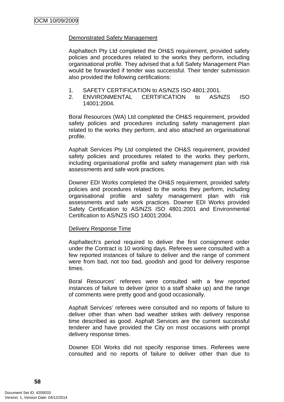### Demonstrated Safety Management

Asphaltech Pty Ltd completed the OH&S requirement, provided safety policies and procedures related to the works they perform, including organisational profile. They advised that a full Safety Management Plan would be forwarded if tender was successful. Their tender submission also provided the following certifications:

- 1. SAFETY CERTIFICATION to AS/NZS ISO 4801:2001.
- 2. ENVIRONMENTAL CERTIFICATION to AS/NZS ISO 14001:2004.

Boral Resources (WA) Ltd completed the OH&S requirement, provided safety policies and procedures including safety management plan related to the works they perform, and also attached an organisational profile.

Asphalt Services Pty Ltd completed the OH&S requirement, provided safety policies and procedures related to the works they perform, including organisational profile and safety management plan with risk assessments and safe work practices.

Downer EDI Works completed the OH&S requirement, provided safety policies and procedures related to the works they perform, including organisational profile and safety management plan with risk assessments and safe work practices. Downer EDI Works provided Safety Certification to AS/NZS ISO 4801:2001 and Environmental Certification to AS/NZS ISO 14001:2004.

### Delivery Response Time

Asphaltech's period required to deliver the first consignment order under the Contract is 10 working days. Referees were consulted with a few reported instances of failure to deliver and the range of comment were from bad, not too bad, goodish and good for delivery response times.

Boral Resources' referees were consulted with a few reported instances of failure to deliver (prior to a staff shake up) and the range of comments were pretty good and good occasionally.

Asphalt Services' referees were consulted and no reports of failure to deliver other than when bad weather strikes with delivery response time described as good. Asphalt Services are the current successful tenderer and have provided the City on most occasions with prompt delivery response times.

Downer EDI Works did not specify response times. Referees were consulted and no reports of failure to deliver other than due to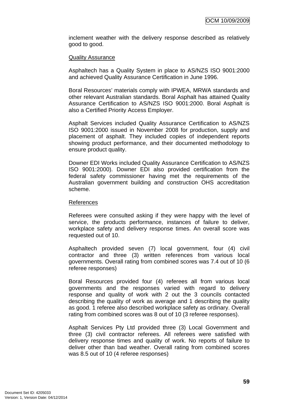inclement weather with the delivery response described as relatively good to good.

#### Quality Assurance

Asphaltech has a Quality System in place to AS/NZS ISO 9001:2000 and achieved Quality Assurance Certification in June 1996.

Boral Resources' materials comply with IPWEA, MRWA standards and other relevant Australian standards. Boral Asphalt has attained Quality Assurance Certification to AS/NZS ISO 9001:2000. Boral Asphalt is also a Certified Priority Access Employer.

Asphalt Services included Quality Assurance Certification to AS/NZS ISO 9001:2000 issued in November 2008 for production, supply and placement of asphalt. They included copies of independent reports showing product performance, and their documented methodology to ensure product quality.

Downer EDI Works included Quality Assurance Certification to AS/NZS ISO 9001:2000). Downer EDI also provided certification from the federal safety commissioner having met the requirements of the Australian government building and construction OHS accreditation scheme.

#### References

Referees were consulted asking if they were happy with the level of service, the products performance, instances of failure to deliver, workplace safety and delivery response times. An overall score was requested out of 10.

Asphaltech provided seven (7) local government, four (4) civil contractor and three (3) written references from various local governments. Overall rating from combined scores was 7.4 out of 10 (6 referee responses)

Boral Resources provided four (4) referees all from various local governments and the responses varied with regard to delivery response and quality of work with 2 out the 3 councils contacted describing the quality of work as average and 1 describing the quality as good. 1 referee also described workplace safety as ordinary. Overall rating from combined scores was 8 out of 10 (3 referee responses).

Asphalt Services Pty Ltd provided three (3) Local Government and three (3) civil contractor referees. All referees were satisfied with delivery response times and quality of work. No reports of failure to deliver other than bad weather. Overall rating from combined scores was 8.5 out of 10 (4 referee responses)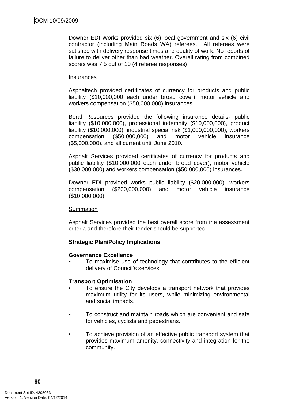Downer EDI Works provided six (6) local government and six (6) civil contractor (including Main Roads WA) referees. All referees were satisfied with delivery response times and quality of work. No reports of failure to deliver other than bad weather. Overall rating from combined scores was 7.5 out of 10 (4 referee responses)

#### **Insurances**

Asphaltech provided certificates of currency for products and public liability (\$10,000,000 each under broad cover), motor vehicle and workers compensation (\$50,000,000) insurances.

Boral Resources provided the following insurance details- public liability (\$10,000,000), professional indemnity (\$10,000,000), product liability (\$10,000,000), industrial special risk (\$1,000,000,000), workers compensation (\$50,000,000) and motor vehicle insurance (\$5,000,000), and all current until June 2010.

Asphalt Services provided certificates of currency for products and public liability (\$10,000,000 each under broad cover), motor vehicle (\$30,000,000) and workers compensation (\$50,000,000) insurances.

Downer EDI provided works public liability (\$20,000,000), workers compensation (\$200,000,000) and motor vehicle insurance (\$10,000,000).

### Summation

Asphalt Services provided the best overall score from the assessment criteria and therefore their tender should be supported.

### **Strategic Plan/Policy Implications**

### **Governance Excellence**

• To maximise use of technology that contributes to the efficient delivery of Council's services.

### **Transport Optimisation**

- To ensure the City develops a transport network that provides maximum utility for its users, while minimizing environmental and social impacts.
- To construct and maintain roads which are convenient and safe for vehicles, cyclists and pedestrians.
- To achieve provision of an effective public transport system that provides maximum amenity, connectivity and integration for the community.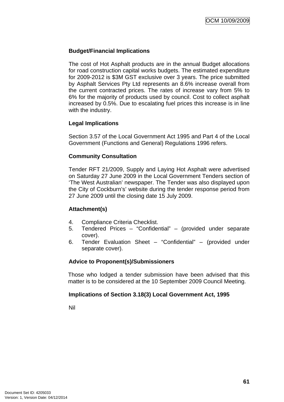# **Budget/Financial Implications**

The cost of Hot Asphalt products are in the annual Budget allocations for road construction capital works budgets. The estimated expenditure for 2009-2012 is \$3M GST exclusive over 3 years. The price submitted by Asphalt Services Pty Ltd represents an 8.6% increase overall from the current contracted prices. The rates of increase vary from 5% to 6% for the majority of products used by council. Cost to collect asphalt increased by 0.5%. Due to escalating fuel prices this increase is in line with the industry.

# **Legal Implications**

Section 3.57 of the Local Government Act 1995 and Part 4 of the Local Government (Functions and General) Regulations 1996 refers.

### **Community Consultation**

Tender RFT 21/2009, Supply and Laying Hot Asphalt were advertised on Saturday 27 June 2009 in the Local Government Tenders section of 'The West Australian' newspaper. The Tender was also displayed upon the City of Cockburn's' website during the tender response period from 27 June 2009 until the closing date 15 July 2009.

### **Attachment(s)**

- 4. Compliance Criteria Checklist.
- 5. Tendered Prices "Confidential" (provided under separate cover).
- 6. Tender Evaluation Sheet "Confidential" (provided under separate cover).

### **Advice to Proponent(s)/Submissioners**

Those who lodged a tender submission have been advised that this matter is to be considered at the 10 September 2009 Council Meeting.

### **Implications of Section 3.18(3) Local Government Act, 1995**

Nil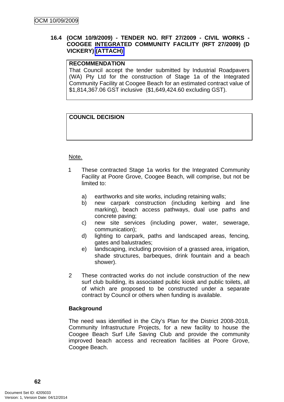# **16.4 (OCM 10/9/2009) - TENDER NO. RFT 27/2009 - CIVIL WORKS - COOGEE INTEGRATED COMMUNITY FACILITY (RFT 27/2009) (D VICKERY) (ATTACH)**

# **RECOMMENDATION**

That Council accept the tender submitted by Industrial Roadpavers (WA) Pty Ltd for the construction of Stage 1a of the Integrated Community Facility at Coogee Beach for an estimated contract value of \$1,814,367.06 GST inclusive (\$1,649,424.60 excluding GST).

# **COUNCIL DECISION**

### Note.

- 1 These contracted Stage 1a works for the Integrated Community Facility at Poore Grove, Coogee Beach, will comprise, but not be limited to:
	- a) earthworks and site works, including retaining walls;
	- b) new carpark construction (including kerbing and line marking), beach access pathways, dual use paths and concrete paving;
	- c) new site services (including power, water, sewerage, communication);
	- d) lighting to carpark, paths and landscaped areas, fencing, gates and balustrades;
	- e) landscaping, including provision of a grassed area, irrigation, shade structures, barbeques, drink fountain and a beach shower).
- 2 These contracted works do not include construction of the new surf club building, its associated public kiosk and public toilets, all of which are proposed to be constructed under a separate contract by Council or others when funding is available.

### **Background**

The need was identified in the City's Plan for the District 2008-2018, Community Infrastructure Projects, for a new facility to house the Coogee Beach Surf Life Saving Club and provide the community improved beach access and recreation facilities at Poore Grove, Coogee Beach.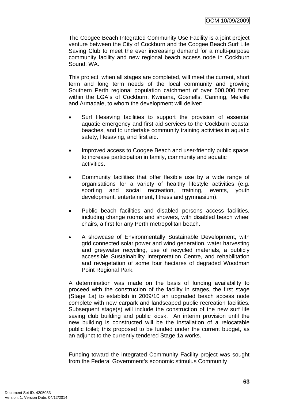The Coogee Beach Integrated Community Use Facility is a joint project venture between the City of Cockburn and the Coogee Beach Surf Life Saving Club to meet the ever increasing demand for a multi-purpose community facility and new regional beach access node in Cockburn Sound, WA.

This project, when all stages are completed, will meet the current, short term and long term needs of the local community and growing Southern Perth regional population catchment of over 500,000 from within the LGA's of Cockburn, Kwinana, Gosnells, Canning, Melville and Armadale, to whom the development will deliver:

- Surf lifesaving facilities to support the provision of essential aquatic emergency and first aid services to the Cockburn coastal beaches, and to undertake community training activities in aquatic safety, lifesaving, and first aid.
- Improved access to Coogee Beach and user-friendly public space to increase participation in family, community and aquatic activities.
- Community facilities that offer flexible use by a wide range of organisations for a variety of healthy lifestyle activities (e.g. sporting and social recreation, training, events, youth development, entertainment, fitness and gymnasium).
- Public beach facilities and disabled persons access facilities, including change rooms and showers, with disabled beach wheel chairs, a first for any Perth metropolitan beach.
- A showcase of Environmentally Sustainable Development, with grid connected solar power and wind generation, water harvesting and greywater recycling, use of recycled materials, a publicly accessible Sustainability Interpretation Centre, and rehabilitation and revegetation of some four hectares of degraded Woodman Point Regional Park.

A determination was made on the basis of funding availability to proceed with the construction of the facility in stages, the first stage (Stage 1a) to establish in 2009/10 an upgraded beach access node complete with new carpark and landscaped public recreation facilities. Subsequent stage(s) will include the construction of the new surf life saving club building and public kiosk. An interim provision until the new building is constructed will be the installation of a relocatable public toilet; this proposed to be funded under the current budget, as an adjunct to the currently tendered Stage 1a works.

Funding toward the Integrated Community Facility project was sought from the Federal Government's economic stimulus Community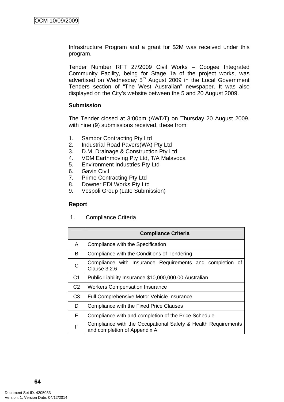Infrastructure Program and a grant for \$2M was received under this program.

Tender Number RFT 27/2009 Civil Works – Coogee Integrated Community Facility, being for Stage 1a of the project works, was advertised on Wednesday 5<sup>th</sup> August 2009 in the Local Government Tenders section of "The West Australian" newspaper. It was also displayed on the City's website between the 5 and 20 August 2009.

#### **Submission**

The Tender closed at 3:00pm (AWDT) on Thursday 20 August 2009, with nine (9) submissions received, these from:

- 1. Sambor Contracting Pty Ltd
- 2. Industrial Road Pavers(WA) Pty Ltd
- 3. D.M. Drainage & Construction Pty Ltd
- 4. VDM Earthmoving Pty Ltd, T/A Malavoca
- 5. Environment Industries Pty Ltd
- 6. Gavin Civil
- 7. Prime Contracting Pty Ltd
- 8. Downer EDI Works Pty Ltd
- 9. Vespoli Group (Late Submission)

### **Report**

1. Compliance Criteria

|                | <b>Compliance Criteria</b>                                                                    |
|----------------|-----------------------------------------------------------------------------------------------|
| A              | Compliance with the Specification                                                             |
| B              | Compliance with the Conditions of Tendering                                                   |
| $\mathsf{C}$   | Compliance with Insurance Requirements and completion of<br>Clause 3.2.6                      |
| C <sub>1</sub> | Public Liability Insurance \$10,000,000.00 Australian                                         |
| C <sub>2</sub> | <b>Workers Compensation Insurance</b>                                                         |
| C <sub>3</sub> | <b>Full Comprehensive Motor Vehicle Insurance</b>                                             |
| D              | Compliance with the Fixed Price Clauses                                                       |
| E.             | Compliance with and completion of the Price Schedule                                          |
| F              | Compliance with the Occupational Safety & Health Requirements<br>and completion of Appendix A |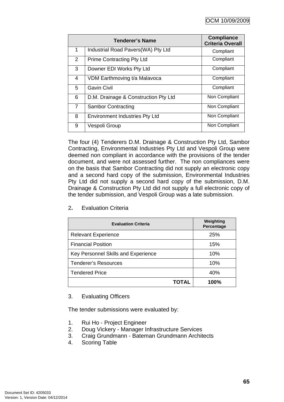| <b>Tenderer's Name</b> |                                       | <b>Compliance</b><br><b>Criteria Overall</b> |
|------------------------|---------------------------------------|----------------------------------------------|
| 1                      | Industrial Road Pavers (WA) Pty Ltd   | Compliant                                    |
| $\overline{2}$         | <b>Prime Contracting Pty Ltd</b>      | Compliant                                    |
| 3                      | Downer EDI Works Pty Ltd              | Compliant                                    |
| 4                      | VDM Earthmoving t/a Malavoca          | Compliant                                    |
| 5                      | <b>Gavin Civil</b>                    | Compliant                                    |
| 6                      | D.M. Drainage & Construction Pty Ltd  | Non Compliant                                |
| $\overline{7}$         | <b>Sambor Contracting</b>             | Non Compliant                                |
| 8                      | <b>Environment Industries Pty Ltd</b> | Non Compliant                                |
| 9                      | Vespoli Group                         | Non Compliant                                |

The four (4) Tenderers D.M. Drainage & Construction Pty Ltd, Sambor Contracting, Environmental Industries Pty Ltd and Vespoli Group were deemed non compliant in accordance with the provisions of the tender document, and were not assessed further. The non compliances were on the basis that Sambor Contracting did not supply an electronic copy and a second hard copy of the submission, Environmental Industries Pty Ltd did not supply a second hard copy of the submission, D.M. Drainage & Construction Pty Ltd did not supply a full electronic copy of the tender submission, and Vespoli Group was a late submission.

| <b>Evaluation Criteria</b>          | Weighting<br><b>Percentage</b> |
|-------------------------------------|--------------------------------|
| <b>Relevant Experience</b>          | 25%                            |
| <b>Financial Position</b>           | 15%                            |
| Key Personnel Skills and Experience | 10%                            |
| <b>Tenderer's Resources</b>         | 10%                            |
| <b>Tendered Price</b>               | 40%                            |
| TOTAL                               | 100%                           |

# 2**.** Evaluation Criteria

# 3. Evaluating Officers

The tender submissions were evaluated by:

- 1. Rui Ho Project Engineer
- 2. Doug Vickery Manager Infrastructure Services
- 3. Craig Grundmann Bateman Grundmann Architects
- 4. Scoring Table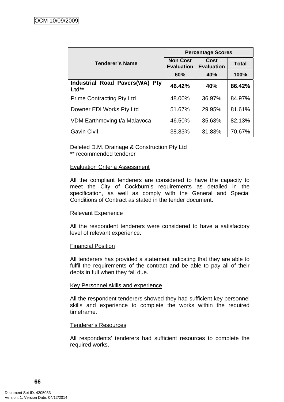|                                                            | <b>Percentage Scores</b>             |                                  |              |  |
|------------------------------------------------------------|--------------------------------------|----------------------------------|--------------|--|
| <b>Tenderer's Name</b>                                     | <b>Non Cost</b><br><b>Evaluation</b> | <b>Cost</b><br><b>Evaluation</b> | <b>Total</b> |  |
|                                                            | 60%                                  | 40%                              | 100%         |  |
| <b>Industrial Road Pavers(WA)</b><br><b>Pty</b><br>$Ltd**$ | 46.42%                               | 40%                              | 86.42%       |  |
| <b>Prime Contracting Pty Ltd</b>                           | 48.00%                               | 36.97%                           | 84.97%       |  |
| Downer EDI Works Pty Ltd                                   | 51.67%                               | 29.95%                           | 81.61%       |  |
| VDM Earthmoving t/a Malavoca                               | 46.50%                               | 35.63%                           | 82.13%       |  |
| <b>Gavin Civil</b>                                         | 38.83%                               | 31.83%                           | 70.67%       |  |

Deleted D.M. Drainage & Construction Pty Ltd \*\* recommended tenderer

### Evaluation Criteria Assessment

All the compliant tenderers are considered to have the capacity to meet the City of Cockburn's requirements as detailed in the specification, as well as comply with the General and Special Conditions of Contract as stated in the tender document.

### Relevant Experience

All the respondent tenderers were considered to have a satisfactory level of relevant experience.

### Financial Position

All tenderers has provided a statement indicating that they are able to fulfil the requirements of the contract and be able to pay all of their debts in full when they fall due.

#### Key Personnel skills and experience

All the respondent tenderers showed they had sufficient key personnel skills and experience to complete the works within the required timeframe.

### Tenderer's Resources

All respondents' tenderers had sufficient resources to complete the required works.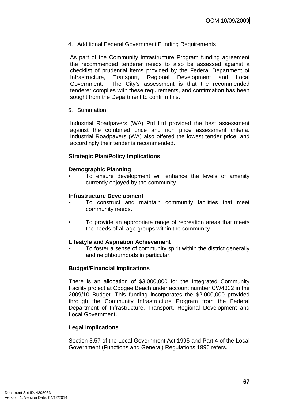4. Additional Federal Government Funding Requirements

As part of the Community Infrastructure Program funding agreement the recommended tenderer needs to also be assessed against a checklist of prudential items provided by the Federal Department of Infrastructure, Transport, Regional Development and Local Government. The City's assessment is that the recommended tenderer complies with these requirements, and confirmation has been sought from the Department to confirm this.

5. Summation

Industrial Roadpavers (WA) Ptd Ltd provided the best assessment against the combined price and non price assessment criteria. Industrial Roadpavers (WA) also offered the lowest tender price, and accordingly their tender is recommended.

### **Strategic Plan/Policy Implications**

### **Demographic Planning**

• To ensure development will enhance the levels of amenity currently enjoyed by the community.

### **Infrastructure Development**

- To construct and maintain community facilities that meet community needs.
- To provide an appropriate range of recreation areas that meets the needs of all age groups within the community.

### **Lifestyle and Aspiration Achievement**

• To foster a sense of community spirit within the district generally and neighbourhoods in particular.

### **Budget/Financial Implications**

There is an allocation of \$3,000,000 for the Integrated Community Facility project at Coogee Beach under account number CW4332 in the 2009/10 Budget. This funding incorporates the \$2,000,000 provided through the Community Infrastructure Program from the Federal Department of Infrastructure, Transport, Regional Development and Local Government.

### **Legal Implications**

Section 3.57 of the Local Government Act 1995 and Part 4 of the Local Government (Functions and General) Regulations 1996 refers.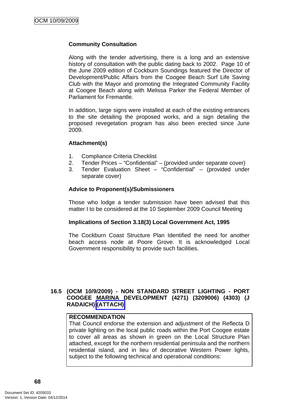### **Community Consultation**

Along with the tender advertising, there is a long and an extensive history of consultation with the public dating back to 2002. Page 10 of the June 2009 edition of Cockburn Soundings featured the Director of Development/Public Affairs from the Coogee Beach Surf Life Saving Club with the Mayor and promoting the Integrated Community Facility at Coogee Beach along with Melissa Parker the Federal Member of Parliament for Fremantle.

In addition, large signs were installed at each of the existing entrances to the site detailing the proposed works, and a sign detailing the proposed revegetation program has also been erected since June 2009.

### **Attachment(s)**

- 1. Compliance Criteria Checklist
- 2. Tender Prices "Confidential" (provided under separate cover)
- 3. Tender Evaluation Sheet "Confidential" (provided under separate cover)

#### **Advice to Proponent(s)/Submissioners**

Those who lodge a tender submission have been advised that this matter I to be considered at the 10 September 2009 Council Meeting

#### **Implications of Section 3.18(3) Local Government Act, 1995**

The Cockburn Coast Structure Plan Identified the need for another beach access node at Poore Grove. It is acknowledged Local Government responsibility to provide such facilities.

### **16.5 (OCM 10/9/2009) - NON STANDARD STREET LIGHTING - PORT COOGEE MARINA DEVELOPMENT (4271) (3209006) (4303) (J RADAICH) (ATTACH)**

#### **RECOMMENDATION**

That Council endorse the extension and adjustment of the Reflecta D private lighting on the local public roads within the Port Coogee estate to cover all areas as shown in green on the Local Structure Plan attached, except for the northern residential peninsula and the northern residential island, and in lieu of decorative Western Power lights, subject to the following technical and operational conditions: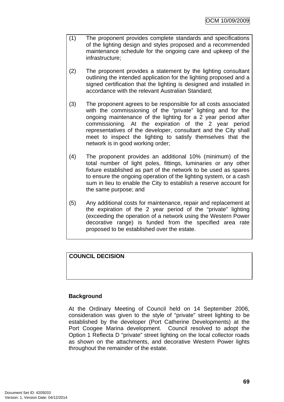- (1) The proponent provides complete standards and specifications of the lighting design and styles proposed and a recommended maintenance schedule for the ongoing care and upkeep of the infrastructure;
- (2) The proponent provides a statement by the lighting consultant outlining the intended application for the lighting proposed and a signed certification that the lighting is designed and installed in accordance with the relevant Australian Standard;
- (3) The proponent agrees to be responsible for all costs associated with the commissioning of the "private" lighting and for the ongoing maintenance of the lighting for a 2 year period after commissioning. At the expiration of the 2 year period representatives of the developer, consultant and the City shall meet to inspect the lighting to satisfy themselves that the network is in good working order;
- (4) The proponent provides an additional 10% (minimum) of the total number of light poles, fittings, luminaries or any other fixture established as part of the network to be used as spares to ensure the ongoing operation of the lighting system, or a cash sum in lieu to enable the City to establish a reserve account for the same purpose; and
- (5) Any additional costs for maintenance, repair and replacement at the expiration of the 2 year period of the "private" lighting (exceeding the operation of a network using the Western Power decorative range) is funded from the specified area rate proposed to be established over the estate.

# **COUNCIL DECISION**

# **Background**

At the Ordinary Meeting of Council held on 14 September 2006, consideration was given to the style of "private" street lighting to be established by the developer (Port Catherine Developments) at the Port Coogee Marina development. Council resolved to adopt the Option 1 Reflecta D "private" street lighting on the local collector roads as shown on the attachments, and decorative Western Power lights throughout the remainder of the estate.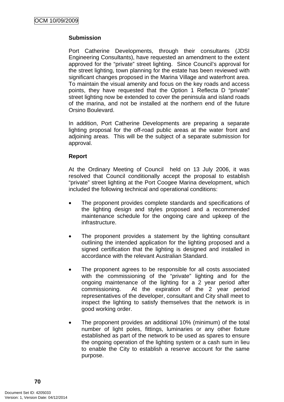### **Submission**

Port Catherine Developments, through their consultants (JDSI Engineering Consultants), have requested an amendment to the extent approved for the "private" street lighting. Since Council's approval for the street lighting, town planning for the estate has been reviewed with significant changes proposed in the Marina Village and waterfront area. To maintain the visual amenity and focus on the key roads and access points, they have requested that the Option 1 Reflecta D "private" street lighting now be extended to cover the peninsula and island roads of the marina, and not be installed at the northern end of the future Orsino Boulevard.

In addition, Port Catherine Developments are preparing a separate lighting proposal for the off-road public areas at the water front and adjoining areas. This will be the subject of a separate submission for approval.

### **Report**

At the Ordinary Meeting of Council held on 13 July 2006, it was resolved that Council conditionally accept the proposal to establish "private" street lighting at the Port Coogee Marina development, which included the following technical and operational conditions:

- The proponent provides complete standards and specifications of the lighting design and styles proposed and a recommended maintenance schedule for the ongoing care and upkeep of the infrastructure.
- The proponent provides a statement by the lighting consultant outlining the intended application for the lighting proposed and a signed certification that the lighting is designed and installed in accordance with the relevant Australian Standard.
- The proponent agrees to be responsible for all costs associated with the commissioning of the "private" lighting and for the ongoing maintenance of the lighting for a 2 year period after commissioning. At the expiration of the 2 year period representatives of the developer, consultant and City shall meet to inspect the lighting to satisfy themselves that the network is in good working order.
- The proponent provides an additional 10% (minimum) of the total number of light poles, fittings, luminaries or any other fixture established as part of the network to be used as spares to ensure the ongoing operation of the lighting system or a cash sum in lieu to enable the City to establish a reserve account for the same purpose.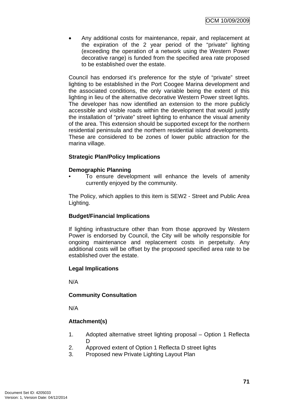• Any additional costs for maintenance, repair, and replacement at the expiration of the 2 year period of the "private" lighting (exceeding the operation of a network using the Western Power decorative range) is funded from the specified area rate proposed to be established over the estate.

Council has endorsed it's preference for the style of "private" street lighting to be established in the Port Coogee Marina development and the associated conditions, the only variable being the extent of this lighting in lieu of the alternative decorative Western Power street lights. The developer has now identified an extension to the more publicly accessible and visible roads within the development that would justify the installation of "private" street lighting to enhance the visual amenity of the area. This extension should be supported except for the northern residential peninsula and the northern residential island developments. These are considered to be zones of lower public attraction for the marina village.

# **Strategic Plan/Policy Implications**

### **Demographic Planning**

• To ensure development will enhance the levels of amenity currently enjoyed by the community.

The Policy, which applies to this item is SEW2 - Street and Public Area Lighting.

# **Budget/Financial Implications**

If lighting infrastructure other than from those approved by Western Power is endorsed by Council, the City will be wholly responsible for ongoing maintenance and replacement costs in perpetuity. Any additional costs will be offset by the proposed specified area rate to be established over the estate.

# **Legal Implications**

N/A

# **Community Consultation**

N/A

# **Attachment(s)**

- 1. Adopted alternative street lighting proposal Option 1 Reflecta D.
- 2. Approved extent of Option 1 Reflecta D street lights
- 3. Proposed new Private Lighting Layout Plan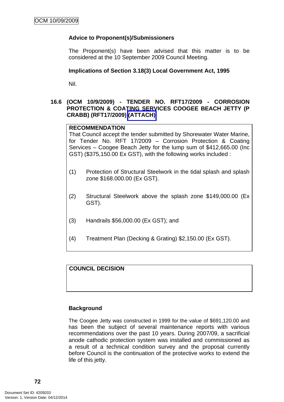### **Advice to Proponent(s)/Submissioners**

The Proponent(s) have been advised that this matter is to be considered at the 10 September 2009 Council Meeting.

#### **Implications of Section 3.18(3) Local Government Act, 1995**

Nil.

### **16.6 (OCM 10/9/2009) - TENDER NO. RFT17/2009 - CORROSION PROTECTION & COATING SERVICES COOGEE BEACH JETTY (P CRABB) (RFT17/2009) (ATTACH)**

#### **RECOMMENDATION**

That Council accept the tender submitted by Shorewater Water Marine, for Tender No. RFT 17/2009 – Corrosion Protection & Coating Services – Coogee Beach Jetty for the lump sum of \$412,665.00 (Inc GST) (\$375,150.00 Ex GST), with the following works included :

- (1) Protection of Structural Steelwork in the tidal splash and splash zone \$168.000.00 (Ex GST).
- (2) Structural Steelwork above the splash zone \$149,000.00 (Ex GST).
- (3) Handrails \$56,000.00 (Ex GST); and
- (4) Treatment Plan (Decking & Grating) \$2,150.00 (Ex GST).

**COUNCIL DECISION** 

### **Background**

The Coogee Jetty was constructed in 1999 for the value of \$691,120.00 and has been the subject of several maintenance reports with various recommendations over the past 10 years. During 2007/09, a sacrificial anode cathodic protection system was installed and commissioned as a result of a technical condition survey and the proposal currently before Council is the continuation of the protective works to extend the life of this jetty.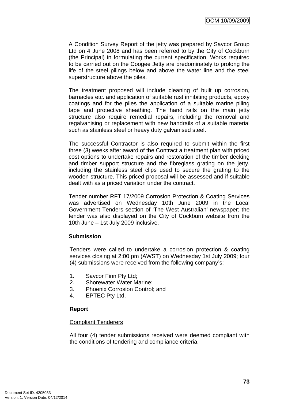A Condition Survey Report of the jetty was prepared by Savcor Group Ltd on 4 June 2008 and has been referred to by the City of Cockburn (the Principal) in formulating the current specification. Works required to be carried out on the Coogee Jetty are predominately to prolong the life of the steel pilings below and above the water line and the steel superstructure above the piles.

The treatment proposed will include cleaning of built up corrosion, barnacles etc. and application of suitable rust inhibiting products, epoxy coatings and for the piles the application of a suitable marine piling tape and protective sheathing. The hand rails on the main jetty structure also require remedial repairs, including the removal and regalvanising or replacement with new handrails of a suitable material such as stainless steel or heavy duty galvanised steel.

The successful Contractor is also required to submit within the first three (3) weeks after award of the Contract a treatment plan with priced cost options to undertake repairs and restoration of the timber decking and timber support structure and the fibreglass grating on the jetty, including the stainless steel clips used to secure the grating to the wooden structure. This priced proposal will be assessed and if suitable dealt with as a priced variation under the contract.

Tender number RFT 17/2009 Corrosion Protection & Coating Services was advertised on Wednesday 10th June 2009 in the Local Government Tenders section of 'The West Australian' newspaper; the tender was also displayed on the City of Cockburn website from the 10th June – 1st July 2009 inclusive.

### **Submission**

Tenders were called to undertake a corrosion protection & coating services closing at 2:00 pm (AWST) on Wednesday 1st July 2009; four (4) submissions were received from the following company's:

- 1. Savcor Finn Pty Ltd;
- 2. Shorewater Water Marine;
- 3. Phoenix Corrosion Control; and
- 4. EPTEC Pty Ltd.

### **Report**

#### Compliant Tenderers

All four (4) tender submissions received were deemed compliant with the conditions of tendering and compliance criteria.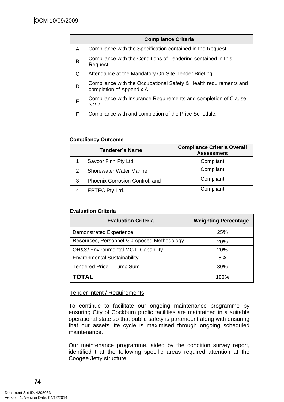|   | <b>Compliance Criteria</b>                                                                    |  |
|---|-----------------------------------------------------------------------------------------------|--|
| A | Compliance with the Specification contained in the Request.                                   |  |
| B | Compliance with the Conditions of Tendering contained in this<br>Request.                     |  |
| C | Attendance at the Mandatory On-Site Tender Briefing.                                          |  |
| D | Compliance with the Occupational Safety & Health requirements and<br>completion of Appendix A |  |
| Е | Compliance with Insurance Requirements and completion of Clause<br>3.2.7.                     |  |
| F | Compliance with and completion of the Price Schedule.                                         |  |

### **Compliancy Outcome**

| <b>Tenderer's Name</b> |                                 | <b>Compliance Criteria Overall</b><br><b>Assessment</b> |
|------------------------|---------------------------------|---------------------------------------------------------|
|                        | Savcor Finn Pty Ltd;            | Compliant                                               |
| 2                      | <b>Shorewater Water Marine;</b> | Compliant                                               |
| 3                      | Phoenix Corrosion Control; and  | Compliant                                               |
|                        | EPTEC Pty Ltd.                  | Compliant                                               |

### **Evaluation Criteria**

| <b>Evaluation Criteria</b>                  | <b>Weighting Percentage</b> |
|---------------------------------------------|-----------------------------|
| <b>Demonstrated Experience</b>              | 25%                         |
| Resources, Personnel & proposed Methodology | 20%                         |
| OH&S/ Environmental MGT Capability          | 20%                         |
| <b>Environmental Sustainability</b>         | 5%                          |
| Tendered Price - Lump Sum                   | 30%                         |
| TOTAL                                       | 100%                        |

# Tender Intent / Requirements

To continue to facilitate our ongoing maintenance programme by ensuring City of Cockburn public facilities are maintained in a suitable operational state so that public safety is paramount along with ensuring that our assets life cycle is maximised through ongoing scheduled maintenance.

Our maintenance programme, aided by the condition survey report, identified that the following specific areas required attention at the Coogee Jetty structure;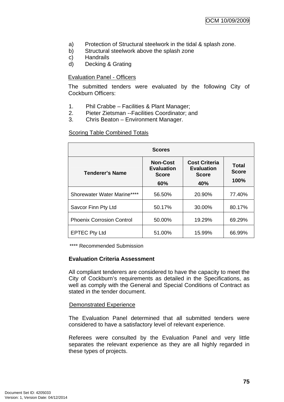- a) Protection of Structural steelwork in the tidal & splash zone.
- b) Structural steelwork above the splash zone
- c) Handrails
- d) Decking & Grating

#### Evaluation Panel - Officers

The submitted tenders were evaluated by the following City of Cockburn Officers:

- 1. Phil Crabbe Facilities & Plant Manager;
- 2. Pieter Zietsman --Facilities Coordinator; and
- 3. Chris Beaton Environment Manager.

#### **Scoring Table Combined Totals**

| <b>Scores</b>                    |                                                             |                                                                  |                               |  |  |
|----------------------------------|-------------------------------------------------------------|------------------------------------------------------------------|-------------------------------|--|--|
| <b>Tenderer's Name</b>           | <b>Non-Cost</b><br><b>Evaluation</b><br><b>Score</b><br>60% | <b>Cost Criteria</b><br><b>Evaluation</b><br><b>Score</b><br>40% | Total<br><b>Score</b><br>100% |  |  |
| Shorewater Water Marine****      | 56.50%                                                      | 20.90%                                                           | 77.40%                        |  |  |
| Savcor Finn Pty Ltd              | 50.17%                                                      | 30.00%                                                           | 80.17%                        |  |  |
| <b>Phoenix Corrosion Control</b> | 50.00%                                                      | 19.29%                                                           | 69.29%                        |  |  |
| <b>EPTEC Pty Ltd</b>             | 51.00%                                                      | 15.99%                                                           | 66.99%                        |  |  |

\*\*\*\* Recommended Submission

#### **Evaluation Criteria Assessment**

All compliant tenderers are considered to have the capacity to meet the City of Cockburn's requirements as detailed in the Specifications, as well as comply with the General and Special Conditions of Contract as stated in the tender document.

#### Demonstrated Experience

The Evaluation Panel determined that all submitted tenders were considered to have a satisfactory level of relevant experience.

Referees were consulted by the Evaluation Panel and very little separates the relevant experience as they are all highly regarded in these types of projects.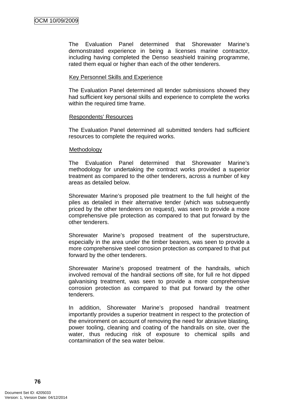The Evaluation Panel determined that Shorewater Marine's demonstrated experience in being a licenses marine contractor, including having completed the Denso seashield training programme, rated them equal or higher than each of the other tenderers.

#### Key Personnel Skills and Experience

The Evaluation Panel determined all tender submissions showed they had sufficient key personal skills and experience to complete the works within the required time frame.

#### Respondents' Resources

The Evaluation Panel determined all submitted tenders had sufficient resources to complete the required works.

#### Methodology

The Evaluation Panel determined that Shorewater Marine's methodology for undertaking the contract works provided a superior treatment as compared to the other tenderers, across a number of key areas as detailed below.

Shorewater Marine's proposed pile treatment to the full height of the piles as detailed in their alternative tender (which was subsequently priced by the other tenderers on request), was seen to provide a more comprehensive pile protection as compared to that put forward by the other tenderers.

Shorewater Marine's proposed treatment of the superstructure, especially in the area under the timber bearers, was seen to provide a more comprehensive steel corrosion protection as compared to that put forward by the other tenderers.

Shorewater Marine's proposed treatment of the handrails, which involved removal of the handrail sections off site, for full re hot dipped galvanising treatment, was seen to provide a more comprehensive corrosion protection as compared to that put forward by the other tenderers.

In addition, Shorewater Marine's proposed handrail treatment importantly provides a superior treatment in respect to the protection of the environment on account of removing the need for abrasive blasting, power tooling, cleaning and coating of the handrails on site, over the water, thus reducing risk of exposure to chemical spills and contamination of the sea water below.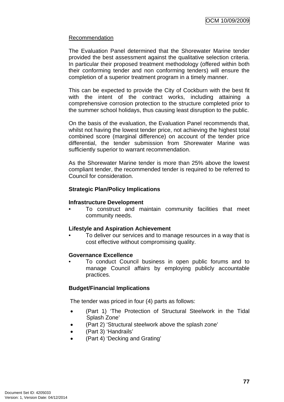### Recommendation

The Evaluation Panel determined that the Shorewater Marine tender provided the best assessment against the qualitative selection criteria. In particular their proposed treatment methodology (offered within both their conforming tender and non conforming tenders) will ensure the completion of a superior treatment program in a timely manner.

This can be expected to provide the City of Cockburn with the best fit with the intent of the contract works, including attaining a comprehensive corrosion protection to the structure completed prior to the summer school holidays, thus causing least disruption to the public.

On the basis of the evaluation, the Evaluation Panel recommends that, whilst not having the lowest tender price, not achieving the highest total combined score (marginal difference) on account of the tender price differential, the tender submission from Shorewater Marine was sufficiently superior to warrant recommendation.

As the Shorewater Marine tender is more than 25% above the lowest compliant tender, the recommended tender is required to be referred to Council for consideration.

### **Strategic Plan/Policy Implications**

### **Infrastructure Development**

• To construct and maintain community facilities that meet community needs.

### **Lifestyle and Aspiration Achievement**

• To deliver our services and to manage resources in a way that is cost effective without compromising quality.

### **Governance Excellence**

• To conduct Council business in open public forums and to manage Council affairs by employing publicly accountable practices.

### **Budget/Financial Implications**

The tender was priced in four (4) parts as follows:

- (Part 1) 'The Protection of Structural Steelwork in the Tidal Splash Zone'
- (Part 2) 'Structural steelwork above the splash zone'
- (Part 3) 'Handrails'
- (Part 4) 'Decking and Grating'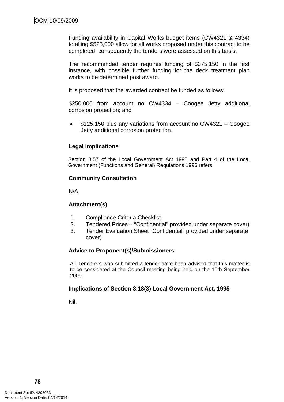Funding availability in Capital Works budget items (CW4321 & 4334) totalling \$525,000 allow for all works proposed under this contract to be completed, consequently the tenders were assessed on this basis.

The recommended tender requires funding of \$375,150 in the first instance, with possible further funding for the deck treatment plan works to be determined post award.

It is proposed that the awarded contract be funded as follows:

\$250,000 from account no CW4334 – Coogee Jetty additional corrosion protection; and

• \$125,150 plus any variations from account no CW4321 – Coogee Jetty additional corrosion protection.

### **Legal Implications**

Section 3.57 of the Local Government Act 1995 and Part 4 of the Local Government (Functions and General) Regulations 1996 refers.

### **Community Consultation**

N/A

# **Attachment(s)**

- 1. Compliance Criteria Checklist
- 2. Tendered Prices "Confidential" provided under separate cover)
- 3. Tender Evaluation Sheet "Confidential" provided under separate cover)

### **Advice to Proponent(s)/Submissioners**

All Tenderers who submitted a tender have been advised that this matter is to be considered at the Council meeting being held on the 10th September 2009.

### **Implications of Section 3.18(3) Local Government Act, 1995**

Nil.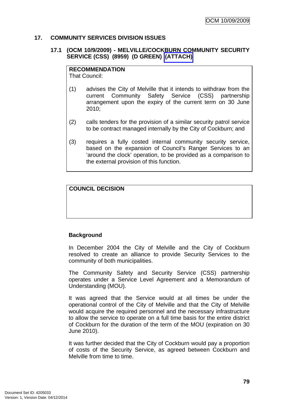### **17. COMMUNITY SERVICES DIVISION ISSUES**

### **17.1 (OCM 10/9/2009) - MELVILLE/COCKBURN COMMUNITY SECURITY SERVICE (CSS) (8959) (D GREEN) (ATTACH)**

#### **RECOMMENDATION**

That Council:

- (1) advises the City of Melville that it intends to withdraw from the current Community Safety Service (CSS) partnership arrangement upon the expiry of the current term on 30 June 2010;
- (2) calls tenders for the provision of a similar security patrol service to be contract managed internally by the City of Cockburn; and
- (3) requires a fully costed internal community security service, based on the expansion of Council's Ranger Services to an 'around the clock' operation, to be provided as a comparison to the external provision of this function.

### **COUNCIL DECISION**

### **Background**

In December 2004 the City of Melville and the City of Cockburn resolved to create an alliance to provide Security Services to the community of both municipalities.

The Community Safety and Security Service (CSS) partnership operates under a Service Level Agreement and a Memorandum of Understanding (MOU).

It was agreed that the Service would at all times be under the operational control of the City of Melville and that the City of Melville would acquire the required personnel and the necessary infrastructure to allow the service to operate on a full time basis for the entire district of Cockburn for the duration of the term of the MOU (expiration on 30 June 2010).

It was further decided that the City of Cockburn would pay a proportion of costs of the Security Service, as agreed between Cockburn and Melville from time to time.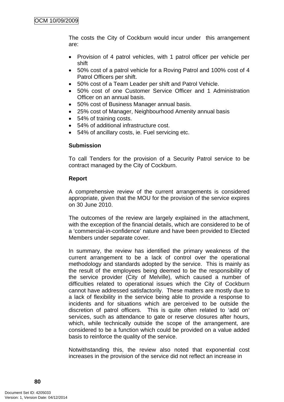The costs the City of Cockburn would incur under this arrangement are:

- Provision of 4 patrol vehicles, with 1 patrol officer per vehicle per shift
- 50% cost of a patrol vehicle for a Roving Patrol and 100% cost of 4 Patrol Officers per shift.
- 50% cost of a Team Leader per shift and Patrol Vehicle.
- 50% cost of one Customer Service Officer and 1 Administration Officer on an annual basis.
- 50% cost of Business Manager annual basis.
- 25% cost of Manager, Neighbourhood Amenity annual basis
- 54% of training costs.
- 54% of additional infrastructure cost.
- 54% of ancillary costs, ie. Fuel servicing etc.

### **Submission**

To call Tenders for the provision of a Security Patrol service to be contract managed by the City of Cockburn.

### **Report**

A comprehensive review of the current arrangements is considered appropriate, given that the MOU for the provision of the service expires on 30 June 2010.

The outcomes of the review are largely explained in the attachment, with the exception of the financial details, which are considered to be of a 'commercial-in-confidence' nature and have been provided to Elected Members under separate cover.

In summary, the review has identified the primary weakness of the current arrangement to be a lack of control over the operational methodology and standards adopted by the service. This is mainly as the result of the employees being deemed to be the responsibility of the service provider (City of Melville), which caused a number of difficulties related to operational issues which the City of Cockburn cannot have addressed satisfactorily. These matters are mostly due to a lack of flexibility in the service being able to provide a response to incidents and for situations which are perceived to be outside the discretion of patrol officers. This is quite often related to 'add on' services, such as attendance to gate or reserve closures after hours, which, while technically outside the scope of the arrangement, are considered to be a function which could be provided on a value added basis to reinforce the quality of the service.

Notwithstanding this, the review also noted that exponential cost increases in the provision of the service did not reflect an increase in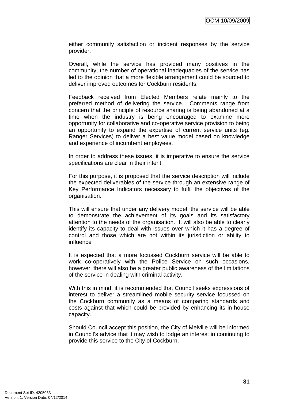either community satisfaction or incident responses by the service provider.

Overall, while the service has provided many positives in the community, the number of operational inadequacies of the service has led to the opinion that a more flexible arrangement could be sourced to deliver improved outcomes for Cockburn residents.

Feedback received from Elected Members relate mainly to the preferred method of delivering the service. Comments range from concern that the principle of resource sharing is being abandoned at a time when the industry is being encouraged to examine more opportunity for collaborative and co-operative service provision to being an opportunity to expand the expertise of current service units (eg. Ranger Services) to deliver a best value model based on knowledge and experience of incumbent employees.

In order to address these issues, it is imperative to ensure the service specifications are clear in their intent.

For this purpose, it is proposed that the service description will include the expected deliverables of the service through an extensive range of Key Performance Indicators necessary to fulfil the objectives of the organisation.

This will ensure that under any delivery model, the service will be able to demonstrate the achievement of its goals and its satisfactory attention to the needs of the organisation. It will also be able to clearly identify its capacity to deal with issues over which it has a degree of control and those which are not within its jurisdiction or ability to influence

It is expected that a more focussed Cockburn service will be able to work co-operatively with the Police Service on such occasions, however, there will also be a greater public awareness of the limitations of the service in dealing with criminal activity.

With this in mind, it is recommended that Council seeks expressions of interest to deliver a streamlined mobile security service focussed on the Cockburn community as a means of comparing standards and costs against that which could be provided by enhancing its in-house capacity.

Should Council accept this position, the City of Melville will be informed in Council's advice that it may wish to lodge an interest in continuing to provide this service to the City of Cockburn.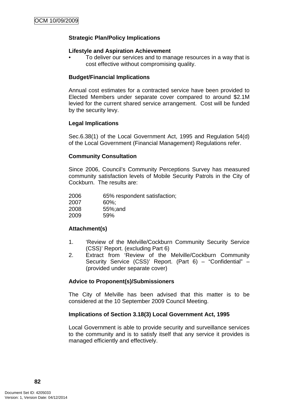### **Strategic Plan/Policy Implications**

#### **Lifestyle and Aspiration Achievement**

• To deliver our services and to manage resources in a way that is cost effective without compromising quality.

### **Budget/Financial Implications**

Annual cost estimates for a contracted service have been provided to Elected Members under separate cover compared to around \$2.1M levied for the current shared service arrangement. Cost will be funded by the security levy.

### **Legal Implications**

Sec.6.38(1) of the Local Government Act, 1995 and Regulation 54(d) of the Local Government (Financial Management) Regulations refer.

### **Community Consultation**

Since 2006, Council's Community Perceptions Survey has measured community satisfaction levels of Mobile Security Patrols in the City of Cockburn. The results are:

| 2006 | 65% respondent satisfaction; |
|------|------------------------------|
| 2007 | $60\%$ ;                     |
| 2008 | 55%; and                     |
| 2009 | 59%                          |

# **Attachment(s)**

- 1. 'Review of the Melville/Cockburn Community Security Service (CSS)' Report. (excluding Part 6)
- 2. Extract from Review of the Melville/Cockburn Community Security Service (CSS)' Report. (Part 6) – "Confidential" – (provided under separate cover)

### **Advice to Proponent(s)/Submissioners**

The City of Melville has been advised that this matter is to be considered at the 10 September 2009 Council Meeting.

### **Implications of Section 3.18(3) Local Government Act, 1995**

Local Government is able to provide security and surveillance services to the community and is to satisfy itself that any service it provides is managed efficiently and effectively.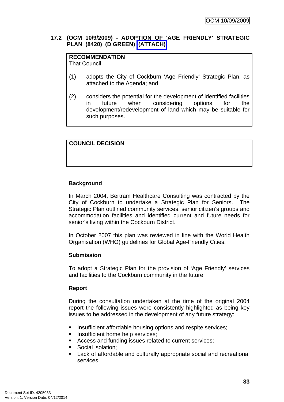### **17.2 (OCM 10/9/2009) - ADOPTION OF 'AGE FRIENDLY' STRATEGIC PLAN (8420) (D GREEN) (ATTACH)**

# **RECOMMENDATION**

That Council:

- (1) adopts the City of Cockburn 'Age Friendly' Strategic Plan, as attached to the Agenda; and
- (2) considers the potential for the development of identified facilities in future when considering options for the development/redevelopment of land which may be suitable for such purposes.

# **COUNCIL DECISION**

# **Background**

In March 2004, Bertram Healthcare Consulting was contracted by the City of Cockburn to undertake a Strategic Plan for Seniors. The Strategic Plan outlined community services, senior citizen's groups and accommodation facilities and identified current and future needs for senior's living within the Cockburn District.

In October 2007 this plan was reviewed in line with the World Health Organisation (WHO) guidelines for Global Age-Friendly Cities.

# **Submission**

To adopt a Strategic Plan for the provision of 'Age Friendly' services and facilities to the Cockburn community in the future.

# **Report**

During the consultation undertaken at the time of the original 2004 report the following issues were consistently highlighted as being key issues to be addressed in the development of any future strategy:

- **Insufficient affordable housing options and respite services;**
- **Insufficient home help services;**
- Access and funding issues related to current services;
- Social isolation;
- Lack of affordable and culturally appropriate social and recreational services;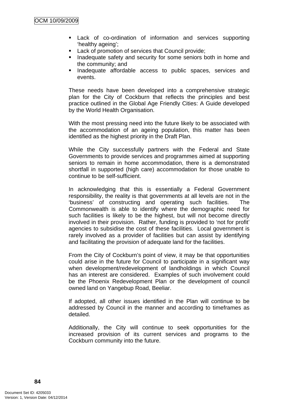- Lack of co-ordination of information and services supporting 'healthy ageing';
- **Lack of promotion of services that Council provide;**
- **Inadequate safety and security for some seniors both in home and** the community; and
- **Inadequate affordable access to public spaces, services and** events.

These needs have been developed into a comprehensive strategic plan for the City of Cockburn that reflects the principles and best practice outlined in the Global Age Friendly Cities: A Guide developed by the World Health Organisation.

With the most pressing need into the future likely to be associated with the accommodation of an ageing population, this matter has been identified as the highest priority in the Draft Plan.

While the City successfully partners with the Federal and State Governments to provide services and programmes aimed at supporting seniors to remain in home accommodation, there is a demonstrated shortfall in supported (high care) accommodation for those unable to continue to be self-sufficient.

In acknowledging that this is essentially a Federal Government responsibility, the reality is that governments at all levels are not in the 'business' of constructing and operating such facilities. The Commonwealth is able to identify where the demographic need for such facilities is likely to be the highest, but will not become directly involved in their provision. Rather, funding is provided to 'not for profit' agencies to subsidise the cost of these facilities. Local government is rarely involved as a provider of facilities but can assist by identifying and facilitating the provision of adequate land for the facilities.

From the City of Cockburn's point of view, it may be that opportunities could arise in the future for Council to participate in a significant way when development/redevelopment of landholdings in which Council has an interest are considered. Examples of such involvement could be the Phoenix Redevelopment Plan or the development of council owned land on Yangebup Road, Beeliar.

If adopted, all other issues identified in the Plan will continue to be addressed by Council in the manner and according to timeframes as detailed.

Additionally, the City will continue to seek opportunities for the increased provision of its current services and programs to the Cockburn community into the future.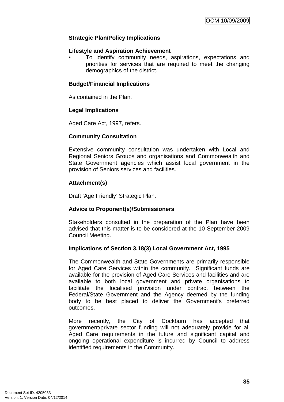### **Strategic Plan/Policy Implications**

#### **Lifestyle and Aspiration Achievement**

• To identify community needs, aspirations, expectations and priorities for services that are required to meet the changing demographics of the district.

### **Budget/Financial Implications**

As contained in the Plan.

### **Legal Implications**

Aged Care Act, 1997, refers.

### **Community Consultation**

Extensive community consultation was undertaken with Local and Regional Seniors Groups and organisations and Commonwealth and State Government agencies which assist local government in the provision of Seniors services and facilities.

### **Attachment(s)**

Draft 'Age Friendly' Strategic Plan.

### **Advice to Proponent(s)/Submissioners**

Stakeholders consulted in the preparation of the Plan have been advised that this matter is to be considered at the 10 September 2009 Council Meeting.

### **Implications of Section 3.18(3) Local Government Act, 1995**

The Commonwealth and State Governments are primarily responsible for Aged Care Services within the community. Significant funds are available for the provision of Aged Care Services and facilities and are available to both local government and private organisations to facilitate the localised provision under contract between the Federal/State Government and the Agency deemed by the funding body to be best placed to deliver the Government's preferred outcomes.

More recently, the City of Cockburn has accepted that government/private sector funding will not adequately provide for all Aged Care requirements in the future and significant capital and ongoing operational expenditure is incurred by Council to address identified requirements in the Community.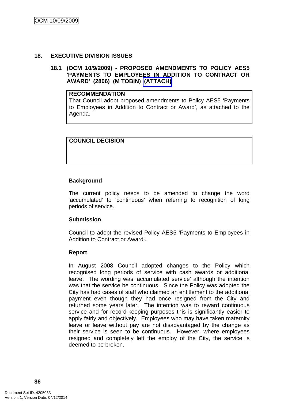### **18. EXECUTIVE DIVISION ISSUES**

### **18.1 (OCM 10/9/2009) - PROPOSED AMENDMENTS TO POLICY AES5 'PAYMENTS TO EMPLOYEES IN ADDITION TO CONTRACT OR AWARD' (2806) (M TOBIN) (ATTACH)**

#### **RECOMMENDATION**

That Council adopt proposed amendments to Policy AES5 'Payments to Employees in Addition to Contract or Award', as attached to the Agenda.

### **COUNCIL DECISION**

### **Background**

The current policy needs to be amended to change the word 'accumulated' to 'continuous' when referring to recognition of long periods of service.

### **Submission**

Council to adopt the revised Policy AES5 'Payments to Employees in Addition to Contract or Award'.

### **Report**

In August 2008 Council adopted changes to the Policy which recognised long periods of service with cash awards or additional leave. The wording was 'accumulated service' although the intention was that the service be continuous. Since the Policy was adopted the City has had cases of staff who claimed an entitlement to the additional payment even though they had once resigned from the City and returned some years later. The intention was to reward continuous service and for record-keeping purposes this is significantly easier to apply fairly and objectively. Employees who may have taken maternity leave or leave without pay are not disadvantaged by the change as their service is seen to be continuous. However, where employees resigned and completely left the employ of the City, the service is deemed to be broken.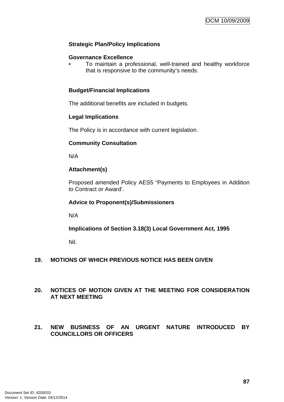### **Strategic Plan/Policy Implications**

### **Governance Excellence**

• To maintain a professional, well-trained and healthy workforce that is responsive to the community's needs.

### **Budget/Financial Implications**

The additional benefits are included in budgets.

### **Legal Implications**

The Policy is in accordance with current legislation.

### **Community Consultation**

N/A

### **Attachment(s)**

Proposed amended Policy AES5 "Payments to Employees in Addition to Contract or Award'.

### **Advice to Proponent(s)/Submissioners**

N/A

**Implications of Section 3.18(3) Local Government Act, 1995**

Nil.

### **19. MOTIONS OF WHICH PREVIOUS NOTICE HAS BEEN GIVEN**

### **20. NOTICES OF MOTION GIVEN AT THE MEETING FOR CONSIDERATION AT NEXT MEETING**

### **21. NEW BUSINESS OF AN URGENT NATURE INTRODUCED BY COUNCILLORS OR OFFICERS**